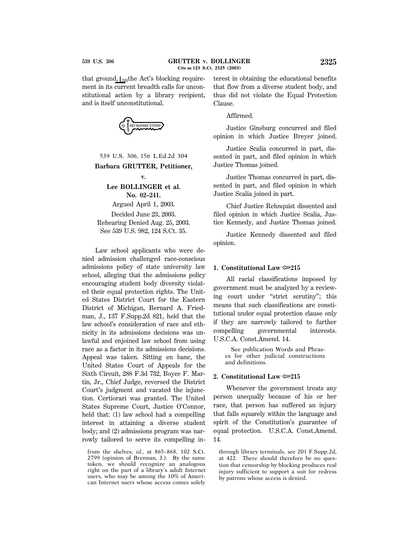that ground,  $\frac{1}{243}$ the Act's blocking requirement in its current breadth calls for unconstitutional action by a library recipient, and is itself unconstitutional.



539 U.S. 306, 156 L.Ed.2d 304 **Barbara GRUTTER, Petitioner, v.**

**Lee BOLLINGER et al. No. 02–241.** Argued April 1, 2003. Decided June 23, 2003. Rehearing Denied Aug. 25, 2003. See 539 U.S. 982, 124 S.Ct. 35.

Law school applicants who were denied admission challenged race-conscious admissions policy of state university law school, alleging that the admissions policy encouraging student body diversity violated their equal protection rights. The United States District Court for the Eastern District of Michigan, Bernard A. Friedman, J., 137 F.Supp.2d 821, held that the law school's consideration of race and ethnicity in its admissions decisions was unlawful and enjoined law school from using race as a factor in its admissions decisions. Appeal was taken. Sitting en banc, the United States Court of Appeals for the Sixth Circuit, 288 F.3d 732, Boyce F. Martin, Jr., Chief Judge, reversed the District Court's judgment and vacated the injunction. Certiorari was granted. The United States Supreme Court, Justice O'Connor, held that: (1) law school had a compelling interest in attaining a diverse student body; and (2) admissions program was narrowly tailored to serve its compelling in-

from the shelves, *id.,* at 865–868, 102 S.Ct. 2799 (opinion of Brennan, J.). By the same token, we should recognize an analogous right on the part of a library's adult Internet users, who may be among the 10% of American Internet users whose access comes solely

terest in obtaining the educational benefits that flow from a diverse student body, and thus did not violate the Equal Protection Clause.

Affirmed.

Justice Ginsburg concurred and filed opinion in which Justice Breyer joined.

Justice Scalia concurred in part, dissented in part, and filed opinion in which Justice Thomas joined.

Justice Thomas concurred in part, dissented in part, and filed opinion in which Justice Scalia joined in part.

Chief Justice Rehnquist dissented and filed opinion in which Justice Scalia, Justice Kennedy, and Justice Thomas joined.

Justice Kennedy dissented and filed opinion.

#### **1. Constitutional Law**  $\approx 215$

All racial classifications imposed by government must be analyzed by a reviewing court under ''strict scrutiny''; this means that such classifications are constitutional under equal protection clause only if they are narrowly tailored to further compelling governmental interests. U.S.C.A. Const.Amend. 14.

 See publication Words and Phrases for other judicial constructions and definitions.

#### **2. Constitutional Law** O**215**

Whenever the government treats any person unequally because of his or her race, that person has suffered an injury that falls squarely within the language and spirit of the Constitution's guarantee of equal protection. U.S.C.A. Const.Amend. 14.

through library terminals, see 201 F.Supp.2d, at 422. There should therefore be no question that censorship by blocking produces real injury sufficient to support a suit for redress by patrons whose access is denied.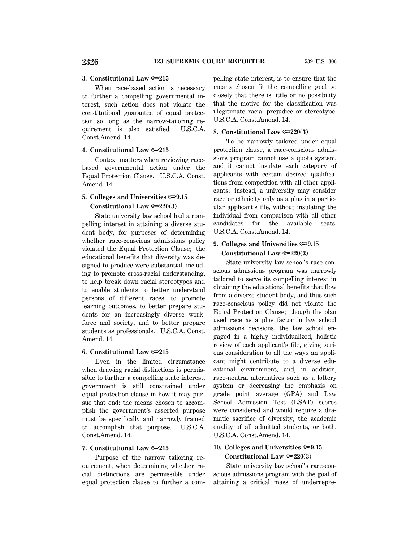## **3. Constitutional Law**  $\approx 215$

When race-based action is necessary to further a compelling governmental interest, such action does not violate the constitutional guarantee of equal protection so long as the narrow-tailoring requirement is also satisfied. U.S.C.A. Const.Amend. 14.

# **4. Constitutional Law**  $\approx 215$

Context matters when reviewing racebased governmental action under the Equal Protection Clause. U.S.C.A. Const. Amend. 14.

# **5. Colleges and Universities**  $\approx 9.15$  **Constitutional Law**  $\infty$ **220(3)**

State university law school had a compelling interest in attaining a diverse student body, for purposes of determining whether race-conscious admissions policy violated the Equal Protection Clause; the educational benefits that diversity was designed to produce were substantial, including to promote cross-racial understanding, to help break down racial stereotypes and to enable students to better understand persons of different races, to promote learning outcomes, to better prepare students for an increasingly diverse workforce and society, and to better prepare students as professionals. U.S.C.A. Const. Amend. 14.

#### **6. Constitutional Law**  $\approx 215$

Even in the limited circumstance when drawing racial distinctions is permissible to further a compelling state interest, government is still constrained under equal protection clause in how it may pursue that end: the means chosen to accomplish the government's asserted purpose must be specifically and narrowly framed to accomplish that purpose. U.S.C.A. Const.Amend. 14.

## **7. Constitutional Law**  $\approx 215$

Purpose of the narrow tailoring requirement, when determining whether racial distinctions are permissible under equal protection clause to further a compelling state interest, is to ensure that the means chosen fit the compelling goal so closely that there is little or no possibility that the motive for the classification was illegitimate racial prejudice or stereotype. U.S.C.A. Const.Amend. 14.

# **8. Constitutional Law**  $\infty$  **220(3)**

To be narrowly tailored under equal protection clause, a race-conscious admissions program cannot use a quota system, and it cannot insulate each category of applicants with certain desired qualifications from competition with all other applicants; instead, a university may consider race or ethnicity only as a plus in a particular applicant's file, without insulating the individual from comparison with all other candidates for the available seats. U.S.C.A. Const.Amend. 14.

# **9. Colleges and Universities**  $\approx 9.15$ **Constitutional Law**  $\approx 220(3)$

State university law school's race-conscious admissions program was narrowly tailored to serve its compelling interest in obtaining the educational benefits that flow from a diverse student body, and thus such race-conscious policy did not violate the Equal Protection Clause; though the plan used race as a plus factor in law school admissions decisions, the law school engaged in a highly individualized, holistic review of each applicant's file, giving serious consideration to all the ways an applicant might contribute to a diverse educational environment, and, in addition, race-neutral alternatives such as a lottery system or decreasing the emphasis on grade point average (GPA) and Law School Admission Test (LSAT) scores were considered and would require a dramatic sacrifice of diversity, the academic quality of all admitted students, or both. U.S.C.A. Const.Amend. 14.

# **10. Colleges and Universities**  $\infty$ **9.15 Constitutional Law**  $\approx 220(3)$

State university law school's race-conscious admissions program with the goal of attaining a critical mass of underrepre-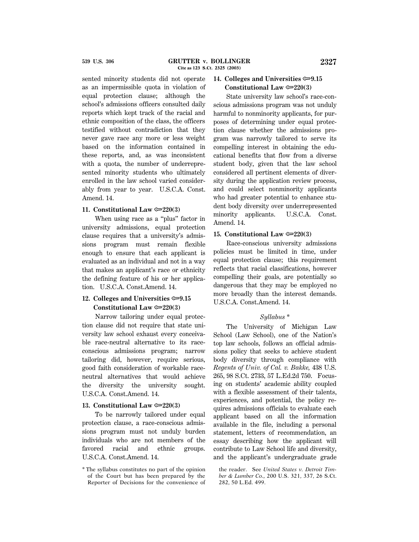#### **GRUTTER v. BOLLINGER 2327 Cite as 123 S.Ct. 2325 (2003)**

sented minority students did not operate as an impermissible quota in violation of equal protection clause; although the school's admissions officers consulted daily reports which kept track of the racial and ethnic composition of the class, the officers testified without contradiction that they never gave race any more or less weight based on the information contained in these reports, and, as was inconsistent with a quota, the number of underrepresented minority students who ultimately enrolled in the law school varied considerably from year to year. U.S.C.A. Const. Amend. 14.

#### **11. Constitutional Law**  $\approx 220(3)$

When using race as a ''plus'' factor in university admissions, equal protection clause requires that a university's admissions program must remain flexible enough to ensure that each applicant is evaluated as an individual and not in a way that makes an applicant's race or ethnicity the defining feature of his or her application. U.S.C.A. Const.Amend. 14.

# **12. Colleges and Universities**  $\approx 9.15$ **Constitutional Law**  $\infty$ **220(3)**

Narrow tailoring under equal protection clause did not require that state university law school exhaust every conceivable race-neutral alternative to its raceconscious admissions program; narrow tailoring did, however, require serious, good faith consideration of workable raceneutral alternatives that would achieve the diversity the university sought. U.S.C.A. Const.Amend. 14.

## **13. Constitutional Law**  $\approx 220(3)$

To be narrowly tailored under equal protection clause, a race-conscious admissions program must not unduly burden individuals who are not members of the favored racial and ethnic groups. U.S.C.A. Const.Amend. 14.

# **14. Colleges and Universities**  $\infty$ **9.15 Constitutional Law**  $\approx 220(3)$

State university law school's race-conscious admissions program was not unduly harmful to nonminority applicants, for purposes of determining under equal protection clause whether the admissions program was narrowly tailored to serve its compelling interest in obtaining the educational benefits that flow from a diverse student body, given that the law school considered all pertinent elements of diversity during the application review process, and could select nonminority applicants who had greater potential to enhance student body diversity over underrepresented minority applicants. U.S.C.A. Const. Amend. 14.

## **15. Constitutional Law**  $\infty$  **220(3)**

Race-conscious university admissions policies must be limited in time, under equal protection clause; this requirement reflects that racial classifications, however compelling their goals, are potentially so dangerous that they may be employed no more broadly than the interest demands. U.S.C.A. Const.Amend. 14.

# *Syllabus \**

The University of Michigan Law School (Law School), one of the Nation's top law schools, follows an official admissions policy that seeks to achieve student body diversity through compliance with *Regents of Univ. of Cal. v. Bakke,* 438 U.S. 265, 98 S.Ct. 2733, 57 L.Ed.2d 750. Focusing on students' academic ability coupled with a flexible assessment of their talents, experiences, and potential, the policy requires admissions officials to evaluate each applicant based on all the information available in the file, including a personal statement, letters of recommendation, an essay describing how the applicant will contribute to Law School life and diversity, and the applicant's undergraduate grade

<sup>\*</sup> The syllabus constitutes no part of the opinion of the Court but has been prepared by the Reporter of Decisions for the convenience of

the reader. See *United States v. Detroit Timber & Lumber Co.,* 200 U.S. 321, 337, 26 S.Ct. 282, 50 L.Ed. 499.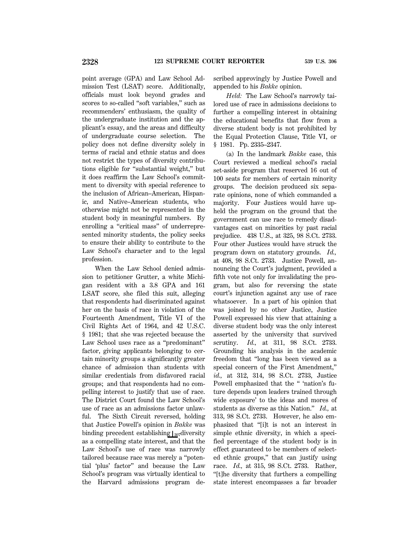point average (GPA) and Law School Admission Test (LSAT) score. Additionally, officials must look beyond grades and scores to so-called ''soft variables,'' such as recommenders' enthusiasm, the quality of the undergraduate institution and the applicant's essay, and the areas and difficulty of undergraduate course selection. The policy does not define diversity solely in terms of racial and ethnic status and does not restrict the types of diversity contributions eligible for ''substantial weight,'' but it does reaffirm the Law School's commitment to diversity with special reference to the inclusion of African–American, Hispanic, and Native–American students, who otherwise might not be represented in the student body in meaningful numbers. By enrolling a "critical mass" of underrepresented minority students, the policy seeks to ensure their ability to contribute to the Law School's character and to the legal profession.

When the Law School denied admission to petitioner Grutter, a white Michigan resident with a 3.8 GPA and 161 LSAT score, she filed this suit, alleging that respondents had discriminated against her on the basis of race in violation of the Fourteenth Amendment, Title VI of the Civil Rights Act of 1964, and 42 U.S.C. § 1981; that she was rejected because the Law School uses race as a ''predominant'' factor, giving applicants belonging to certain minority groups a significantly greater chance of admission than students with similar credentials from disfavored racial groups; and that respondents had no compelling interest to justify that use of race. The District Court found the Law School's use of race as an admissions factor unlawful. The Sixth Circuit reversed, holding that Justice Powell's opinion in *Bakke* was binding precedent establishing  $\log$  diversity as a compelling state interest, and that the Law School's use of race was narrowly tailored because race was merely a ''potential 'plus' factor'' and because the Law School's program was virtually identical to the Harvard admissions program de-

scribed approvingly by Justice Powell and appended to his *Bakke* opinion.

*Held:* The Law School's narrowly tailored use of race in admissions decisions to further a compelling interest in obtaining the educational benefits that flow from a diverse student body is not prohibited by the Equal Protection Clause, Title VI, or § 1981. Pp. 2335–2347.

(a) In the landmark *Bakke* case, this Court reviewed a medical school's racial set-aside program that reserved 16 out of 100 seats for members of certain minority groups. The decision produced six separate opinions, none of which commanded a majority. Four Justices would have upheld the program on the ground that the government can use race to remedy disadvantages cast on minorities by past racial prejudice. 438 U.S., at 325, 98 S.Ct. 2733. Four other Justices would have struck the program down on statutory grounds. *Id.,* at 408, 98 S.Ct. 2733. Justice Powell, announcing the Court's judgment, provided a fifth vote not only for invalidating the program, but also for reversing the state court's injunction against any use of race whatsoever. In a part of his opinion that was joined by no other Justice, Justice Powell expressed his view that attaining a diverse student body was the only interest asserted by the university that survived scrutiny. *Id.,* at 311, 98 S.Ct. 2733. Grounding his analysis in the academic freedom that ''long has been viewed as a special concern of the First Amendment,'' *id.,* at 312, 314, 98 S.Ct. 2733, Justice Powell emphasized that the " 'nation's future depends upon leaders trained through wide exposure' to the ideas and mores of students as diverse as this Nation.'' *Id.,* at 313, 98 S.Ct. 2733. However, he also emphasized that ''[i]t is not an interest in simple ethnic diversity, in which a specified percentage of the student body is in effect guaranteed to be members of selected ethnic groups,'' that can justify using race. *Id.,* at 315, 98 S.Ct. 2733. Rather, ''[t]he diversity that furthers a compelling state interest encompasses a far broader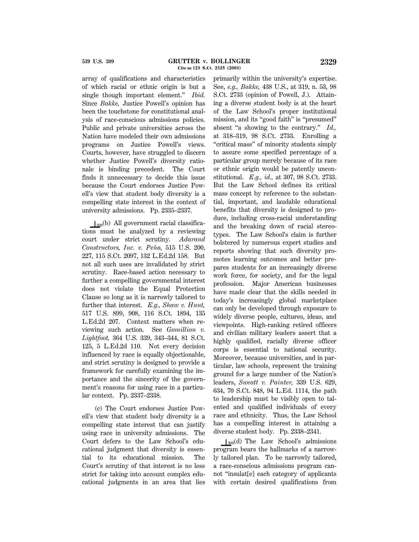array of qualifications and characteristics of which racial or ethnic origin is but a single though important element.'' *Ibid.* Since *Bakke,* Justice Powell's opinion has been the touchstone for constitutional analysis of race-conscious admissions policies. Public and private universities across the Nation have modeled their own admissions programs on Justice Powell's views. Courts, however, have struggled to discern whether Justice Powell's diversity rationale is binding precedent. The Court finds it unnecessary to decide this issue because the Court endorses Justice Powell's view that student body diversity is a compelling state interest in the context of university admissions. Pp. 2335–2337.

 $\log(b)$  All government racial classifications must be analyzed by a reviewing court under strict scrutiny. *Adarand Constructors, Inc. v. Peña,* 515 U.S. 200, 227, 115 S.Ct. 2097, 132 L.Ed.2d 158. But not all such uses are invalidated by strict scrutiny. Race-based action necessary to further a compelling governmental interest does not violate the Equal Protection Clause so long as it is narrowly tailored to further that interest. *E.g., Shaw v. Hunt,* 517 U.S. 899, 908, 116 S.Ct. 1894, 135 L.Ed.2d 207. Context matters when reviewing such action. See *Gomillion v. Lightfoot,* 364 U.S. 339, 343–344, 81 S.Ct. 125, 5 L.Ed.2d 110. Not every decision influenced by race is equally objectionable, and strict scrutiny is designed to provide a framework for carefully examining the importance and the sincerity of the government's reasons for using race in a particular context. Pp. 2337–2338.

(c) The Court endorses Justice Powell's view that student body diversity is a compelling state interest that can justify using race in university admissions. The Court defers to the Law School's educational judgment that diversity is essential to its educational mission. The Court's scrutiny of that interest is no less strict for taking into account complex educational judgments in an area that lies primarily within the university's expertise. See, *e.g., Bakke,* 438 U.S., at 319, n. 53, 98 S.Ct. 2733 (opinion of Powell, J.). Attaining a diverse student body is at the heart of the Law School's proper institutional mission, and its ''good faith'' is ''presumed'' absent "a showing to the contrary." *Id.*, at 318–319, 98 S.Ct. 2733. Enrolling a ''critical mass'' of minority students simply to assure some specified percentage of a particular group merely because of its race or ethnic origin would be patently unconstitutional. *E.g., id.,* at 307, 98 S.Ct. 2733. But the Law School defines its critical mass concept by reference to the substantial, important, and laudable educational benefits that diversity is designed to produce, including cross-racial understanding and the breaking down of racial stereotypes. The Law School's claim is further bolstered by numerous expert studies and reports showing that such diversity promotes learning outcomes and better prepares students for an increasingly diverse work force, for society, and for the legal profession. Major American businesses have made clear that the skills needed in today's increasingly global marketplace can only be developed through exposure to widely diverse people, cultures, ideas, and viewpoints. High-ranking retired officers and civilian military leaders assert that a highly qualified, racially diverse officer corps is essential to national security. Moreover, because universities, and in particular, law schools, represent the training ground for a large number of the Nation's leaders, *Sweatt v. Painter,* 339 U.S. 629, 634, 70 S.Ct. 848, 94 L.Ed. 1114, the path to leadership must be visibly open to talented and qualified individuals of every race and ethnicity. Thus, the Law School has a compelling interest in attaining a diverse student body. Pp. 2338–2341.

 $\log(d)$  The Law School's admissions program bears the hallmarks of a narrowly tailored plan. To be narrowly tailored, a race-conscious admissions program cannot ''insulat[e] each category of applicants with certain desired qualifications from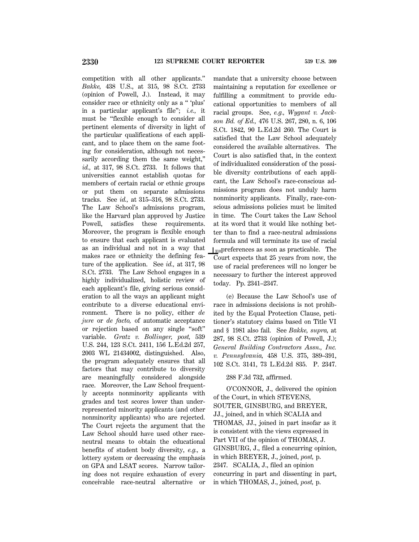competition with all other applicants.'' *Bakke,* 438 U.S., at 315, 98 S.Ct. 2733 (opinion of Powell, J.). Instead, it may consider race or ethnicity only as a '' 'plus' in a particular applicant's file''; *i.e.,* it must be ''flexible enough to consider all pertinent elements of diversity in light of the particular qualifications of each applicant, and to place them on the same footing for consideration, although not necessarily according them the same weight,'' *id.,* at 317, 98 S.Ct. 2733. It follows that universities cannot establish quotas for members of certain racial or ethnic groups or put them on separate admissions tracks. See *id.,* at 315–316, 98 S.Ct. 2733. The Law School's admissions program, like the Harvard plan approved by Justice Powell, satisfies these requirements. Moreover, the program is flexible enough to ensure that each applicant is evaluated as an individual and not in a way that makes race or ethnicity the defining feature of the application. See *id.,* at 317, 98 S.Ct. 2733. The Law School engages in a highly individualized, holistic review of each applicant's file, giving serious consideration to all the ways an applicant might contribute to a diverse educational environment. There is no policy, either *de jure* or *de facto,* of automatic acceptance or rejection based on any single ''soft'' variable. *Gratz v. Bollinger, post,* 539 U.S. 244, 123 S.Ct. 2411, 156 L.Ed.2d 257, 2003 WL 21434002, distinguished. Also, the program adequately ensures that all factors that may contribute to diversity are meaningfully considered alongside race. Moreover, the Law School frequently accepts nonminority applicants with grades and test scores lower than underrepresented minority applicants (and other nonminority applicants) who are rejected. The Court rejects the argument that the Law School should have used other raceneutral means to obtain the educational benefits of student body diversity, *e.g.,* a lottery system or decreasing the emphasis on GPA and LSAT scores. Narrow tailoring does not require exhaustion of every conceivable race-neutral alternative or

mandate that a university choose between maintaining a reputation for excellence or fulfilling a commitment to provide educational opportunities to members of all racial groups. See, *e.g., Wygant v. Jackson Bd. of Ed.,* 476 U.S. 267, 280, n. 6, 106 S.Ct. 1842, 90 L.Ed.2d 260. The Court is satisfied that the Law School adequately considered the available alternatives. The Court is also satisfied that, in the context of individualized consideration of the possible diversity contributions of each applicant, the Law School's race-conscious admissions program does not unduly harm nonminority applicants. Finally, race-conscious admissions policies must be limited in time. The Court takes the Law School at its word that it would like nothing better than to find a race-neutral admissions formula and will terminate its use of racial  $\vert_{310}$ preferences as soon as practicable. The Court expects that 25 years from now, the use of racial preferences will no longer be necessary to further the interest approved today. Pp. 2341–2347.

(e) Because the Law School's use of race in admissions decisions is not prohibited by the Equal Protection Clause, petitioner's statutory claims based on Title VI and § 1981 also fail. See *Bakke, supra,* at 287, 98 S.Ct. 2733 (opinion of Powell, J.); *General Building Contractors Assn., Inc. v. Pennsylvania,* 458 U.S. 375, 389–391, 102 S.Ct. 3141, 73 L.Ed.2d 835. P. 2347.

#### 288 F.3d 732, affirmed.

O'CONNOR, J., delivered the opinion of the Court, in which STEVENS, SOUTER, GINSBURG, and BREYER, JJ., joined, and in which SCALIA and THOMAS, JJ., joined in part insofar as it is consistent with the views expressed in Part VII of the opinion of THOMAS, J. GINSBURG, J., filed a concurring opinion, in which BREYER, J., joined, *post,* p. 2347. SCALIA, J., filed an opinion concurring in part and dissenting in part, in which THOMAS, J., joined, *post,* p.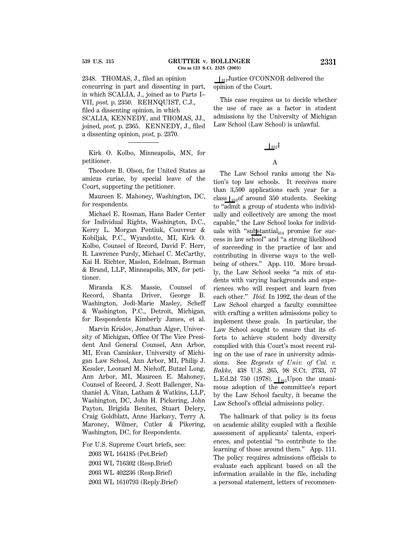2348. THOMAS, J., filed an opinion

concurring in part and dissenting in part, in which SCALIA, J., joined as to Parts I– VII, *post,* p. 2350. REHNQUIST, C.J., filed a dissenting opinion, in which SCALIA, KENNEDY, and THOMAS, JJ., joined, *post,* p. 2365. KENNEDY, J., filed a dissenting opinion, *post,* p. 2370.

Kirk O. Kolbo, Minneapolis, MN, for petitioner.

Theodore B. Olson, for United States as amicus curiae, by special leave of the Court, supporting the petitioner.

Maureen E. Mahoney, Washington, DC, for respondents.

Michael E. Rosman, Hans Bader Center for Individual Rights, Washington, D.C., Kerry L. Morgan Pentiuk, Couvreur & Kobiljak, P.C., Wyandotte, MI, Kirk O. Kolbo, Counsel of Record, David F. Herr, R. Lawrence Purdy, Michael C. McCarthy, Kai H. Richter, Maslon, Edelman, Borman & Brand, LLP, Minneapolis, MN, for petitioner.

Miranda K.S. Massie, Counsel of Record, Shanta Driver, George B. Washington, Jodi-Marie Masley, Scheff & Washington, P.C., Detroit, Michigan, for Respondents Kimberly James, et al.

Marvin Krislov, Jonathan Alger, University of Michigan, Office Of The Vice President And General Counsel, Ann Arbor, MI, Evan Caminker, University of Michigan Law School, Ann Arbor, MI, Philip J. Kessler, Leonard M. Niehoff, Butzel Long, Ann Arbor, MI, Maureen E. Mahoney, Counsel of Record, J. Scott Ballenger, Nathaniel A. Vitan, Latham & Watkins, LLP, Washington, DC, John H. Pickering, John Payton, Brigida Benitez, Stuart Delery, Craig Goldblatt, Anne Harkavy, Terry A. Maroney, Wilmer, Cutler & Pikering, Washington, DC, for Respondents.

For U.S. Supreme Court briefs, see:

2003 WL 164185 (Pet.Brief)

2003 WL 716302 (Resp.Brief)

2003 WL 402236 (Resp.Brief)

2003 WL 1610793 (Reply.Brief)

 $\vert$ <sub>311</sub>Justice O'CONNOR delivered the opinion of the Court.

This case requires us to decide whether the use of race as a factor in student admissions by the University of Michigan Law School (Law School) is unlawful.

# $\vert_{312}$ I

A

The Law School ranks among the Nation's top law schools. It receives more than 3,500 applications each year for a class  $I_{313}$ of around 350 students. Seeking to "admit a group of students who individually and collectively are among the most capable,'' the Law School looks for individuals with "substantial $_{314}$  promise for success in law school'' and ''a strong likelihood of succeeding in the practice of law and contributing in diverse ways to the wellbeing of others.'' App. 110. More broadly, the Law School seeks ''a mix of students with varying backgrounds and experiences who will respect and learn from each other.'' *Ibid.* In 1992, the dean of the Law School charged a faculty committee with crafting a written admissions policy to implement these goals. In particular, the Law School sought to ensure that its efforts to achieve student body diversity complied with this Court's most recent ruling on the use of race in university admissions. See *Regents of Univ. of Cal. v. Bakke,* 438 U.S. 265, 98 S.Ct. 2733, 57 L.Ed.2d 750 (1978).  $\frac{1}{315}$ Upon the unanimous adoption of the committee's report by the Law School faculty, it became the Law School's official admissions policy.

The hallmark of that policy is its focus on academic ability coupled with a flexible assessment of applicants' talents, experiences, and potential ''to contribute to the learning of those around them.'' App. 111. The policy requires admissions officials to evaluate each applicant based on all the information available in the file, including a personal statement, letters of recommen-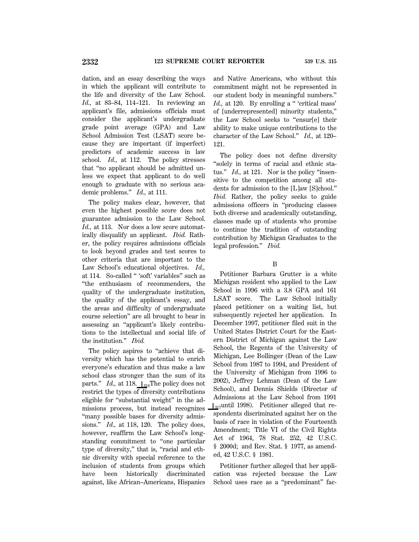dation, and an essay describing the ways in which the applicant will contribute to the life and diversity of the Law School. *Id.,* at 83–84, 114–121. In reviewing an applicant's file, admissions officials must consider the applicant's undergraduate grade point average (GPA) and Law School Admission Test (LSAT) score because they are important (if imperfect) predictors of academic success in law school. *Id.,* at 112. The policy stresses that ''no applicant should be admitted unless we expect that applicant to do well enough to graduate with no serious academic problems.'' *Id.,* at 111.

The policy makes clear, however, that even the highest possible score does not guarantee admission to the Law School. *Id.,* at 113. Nor does a low score automatically disqualify an applicant. *Ibid.* Rather, the policy requires admissions officials to look beyond grades and test scores to other criteria that are important to the Law School's educational objectives. *Id.,* at 114. So-called '' 'soft' variables'' such as ''the enthusiasm of recommenders, the quality of the undergraduate institution, the quality of the applicant's essay, and the areas and difficulty of undergraduate course selection'' are all brought to bear in assessing an ''applicant's likely contributions to the intellectual and social life of the institution.'' *Ibid.*

The policy aspires to "achieve that diversity which has the potential to enrich everyone's education and thus make a law school class stronger than the sum of its parts." *Id.*, at 118.  $\frac{1}{316}$ The policy does not restrict the types of diversity contributions eligible for ''substantial weight'' in the admissions process, but instead recognizes ''many possible bases for diversity admissions.'' *Id.,* at 118, 120. The policy does, however, reaffirm the Law School's longstanding commitment to ''one particular type of diversity," that is, "racial and ethnic diversity with special reference to the inclusion of students from groups which have been historically discriminated against, like African–Americans, Hispanics and Native Americans, who without this commitment might not be represented in our student body in meaningful numbers.'' *Id.*, at 120. By enrolling a " 'critical mass' of [underrepresented] minority students,'' the Law School seeks to ''ensur[e] their ability to make unique contributions to the character of the Law School.'' *Id.,* at 120– 121.

The policy does not define diversity ''solely in terms of racial and ethnic status." *Id.*, at 121. Nor is the policy "insensitive to the competition among all students for admission to the [L]aw [S]chool.'' *Ibid.* Rather, the policy seeks to guide admissions officers in ''producing classes both diverse and academically outstanding, classes made up of students who promise to continue the tradition of outstanding contribution by Michigan Graduates to the legal profession.'' *Ibid.*

#### B

Petitioner Barbara Grutter is a white Michigan resident who applied to the Law School in 1996 with a 3.8 GPA and 161 LSAT score. The Law School initially placed petitioner on a waiting list, but subsequently rejected her application. In December 1997, petitioner filed suit in the United States District Court for the Eastern District of Michigan against the Law School, the Regents of the University of Michigan, Lee Bollinger (Dean of the Law School from 1987 to 1994, and President of the University of Michigan from 1996 to 2002), Jeffrey Lehman (Dean of the Law School), and Dennis Shields (Director of Admissions at the Law School from 1991  $\left| \right|$ <sub>317</sub>until 1998). Petitioner alleged that respondents discriminated against her on the basis of race in violation of the Fourteenth Amendment; Title VI of the Civil Rights Act of 1964, 78 Stat. 252, 42 U.S.C. § 2000d; and Rev. Stat. § 1977, as amended, 42 U.S.C. § 1981.

Petitioner further alleged that her application was rejected because the Law School uses race as a ''predominant'' fac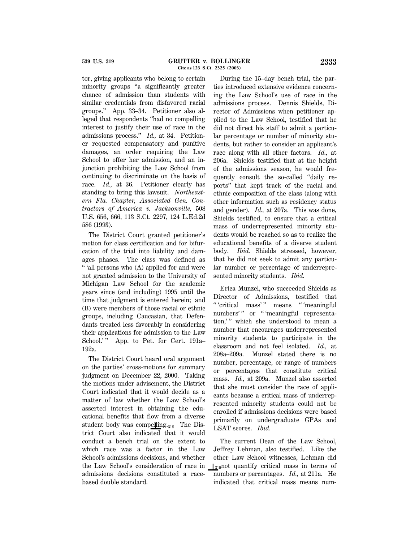586 (1993).

tor, giving applicants who belong to certain minority groups "a significantly greater chance of admission than students with similar credentials from disfavored racial groups.'' App. 33–34. Petitioner also alleged that respondents ''had no compelling interest to justify their use of race in the admissions process.'' *Id.,* at 34. Petitioner requested compensatory and punitive damages, an order requiring the Law School to offer her admission, and an injunction prohibiting the Law School from continuing to discriminate on the basis of race. *Id.,* at 36. Petitioner clearly has standing to bring this lawsuit. *Northeastern Fla. Chapter, Associated Gen. Contractors of America v. Jacksonville,* 508 U.S. 656, 666, 113 S.Ct. 2297, 124 L.Ed.2d

The District Court granted petitioner's motion for class certification and for bifurcation of the trial into liability and damages phases. The class was defined as '' 'all persons who (A) applied for and were not granted admission to the University of Michigan Law School for the academic years since (and including) 1995 until the time that judgment is entered herein; and (B) were members of those racial or ethnic groups, including Caucasian, that Defendants treated less favorably in considering their applications for admission to the Law School.'" App. to Pet. for Cert. 191a-192a.

The District Court heard oral argument on the parties' cross-motions for summary judgment on December 22, 2000. Taking the motions under advisement, the District Court indicated that it would decide as a matter of law whether the Law School's asserted interest in obtaining the educational benefits that flow from a diverse student body was compelling. $_{318}$  The District Court also indicated that it would conduct a bench trial on the extent to which race was a factor in the Law School's admissions decisions, and whether the Law School's consideration of race in admissions decisions constituted a racebased double standard.

During the 15–day bench trial, the parties introduced extensive evidence concerning the Law School's use of race in the admissions process. Dennis Shields, Director of Admissions when petitioner applied to the Law School, testified that he did not direct his staff to admit a particular percentage or number of minority students, but rather to consider an applicant's race along with all other factors. *Id.,* at 206a. Shields testified that at the height of the admissions season, he would frequently consult the so-called ''daily reports'' that kept track of the racial and ethnic composition of the class (along with other information such as residency status and gender). *Id.,* at 207a. This was done, Shields testified, to ensure that a critical mass of underrepresented minority students would be reached so as to realize the educational benefits of a diverse student body. *Ibid.* Shields stressed, however, that he did not seek to admit any particular number or percentage of underrepresented minority students. *Ibid.*

Erica Munzel, who succeeded Shields as Director of Admissions, testified that '' 'critical mass' '' means '' 'meaningful numbers'" or "'meaningful representation,' '' which she understood to mean a number that encourages underrepresented minority students to participate in the classroom and not feel isolated. *Id.,* at 208a–209a. Munzel stated there is no number, percentage, or range of numbers or percentages that constitute critical mass. *Id.,* at 209a. Munzel also asserted that she must consider the race of applicants because a critical mass of underrepresented minority students could not be enrolled if admissions decisions were based primarily on undergraduate GPAs and LSAT scores. *Ibid.*

The current Dean of the Law School, Jeffrey Lehman, also testified. Like the other Law School witnesses, Lehman did  $\left| \right|$ <sub>319</sub>not quantify critical mass in terms of numbers or percentages. *Id.,* at 211a. He indicated that critical mass means num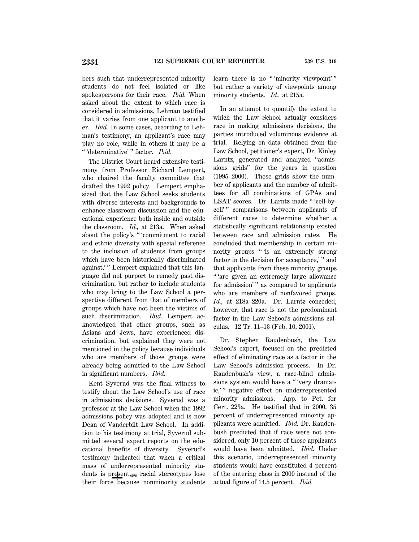bers such that underrepresented minority students do not feel isolated or like spokespersons for their race. *Ibid.* When asked about the extent to which race is considered in admissions, Lehman testified that it varies from one applicant to another. *Ibid.* In some cases, according to Lehman's testimony, an applicant's race may play no role, while in others it may be a '' 'determinative' '' factor. *Ibid.*

The District Court heard extensive testimony from Professor Richard Lempert, who chaired the faculty committee that drafted the 1992 policy. Lempert emphasized that the Law School seeks students with diverse interests and backgrounds to enhance classroom discussion and the educational experience both inside and outside the classroom. *Id.,* at 213a. When asked about the policy's "'commitment to racial and ethnic diversity with special reference to the inclusion of students from groups which have been historically discriminated against,'" Lempert explained that this language did not purport to remedy past discrimination, but rather to include students who may bring to the Law School a perspective different from that of members of groups which have not been the victims of such discrimination. *Ibid.* Lempert acknowledged that other groups, such as Asians and Jews, have experienced discrimination, but explained they were not mentioned in the policy because individuals who are members of those groups were already being admitted to the Law School in significant numbers. *Ibid.*

Kent Syverud was the final witness to testify about the Law School's use of race in admissions decisions. Syverud was a professor at the Law School when the 1992 admissions policy was adopted and is now Dean of Vanderbilt Law School. In addition to his testimony at trial, Syverud submitted several expert reports on the educational benefits of diversity. Syverud's testimony indicated that when a critical mass of underrepresented minority students is present, $_{320}$  racial stereotypes lose their force because nonminority students learn there is no "'minority viewpoint'" but rather a variety of viewpoints among minority students. *Id.,* at 215a.

In an attempt to quantify the extent to which the Law School actually considers race in making admissions decisions, the parties introduced voluminous evidence at trial. Relying on data obtained from the Law School, petitioner's expert, Dr. Kinley Larntz, generated and analyzed ''admissions grids'' for the years in question (1995–2000). These grids show the number of applicants and the number of admittees for all combinations of GPAs and LSAT scores. Dr. Larntz made '' 'cell-bycell' '' comparisons between applicants of different races to determine whether a statistically significant relationship existed between race and admission rates. He concluded that membership in certain minority groups "' is an extremely strong factor in the decision for acceptance,'" and that applicants from these minority groups '' 'are given an extremely large allowance for admission'" as compared to applicants who are members of nonfavored groups. *Id.,* at 218a–220a. Dr. Larntz conceded, however, that race is not the predominant factor in the Law School's admissions calculus. 12 Tr. 11–13 (Feb. 10, 2001).

Dr. Stephen Raudenbush, the Law School's expert, focused on the predicted effect of eliminating race as a factor in the Law School's admission process. In Dr. Raudenbush's view, a race-blind admissions system would have a "'very dramatic,'" negative effect on underrepresented minority admissions. App. to Pet. for Cert. 223a. He testified that in 2000, 35 percent of underrepresented minority applicants were admitted. *Ibid.* Dr. Raudenbush predicted that if race were not considered, only 10 percent of those applicants would have been admitted. *Ibid.* Under this scenario, underrepresented minority students would have constituted 4 percent of the entering class in 2000 instead of the actual figure of 14.5 percent. *Ibid.*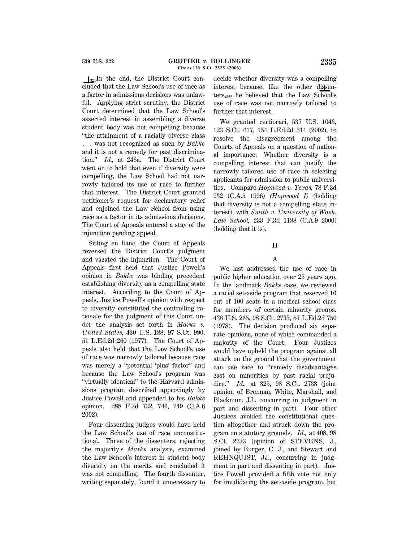$\log_2 1$ n the end, the District Court concluded that the Law School's use of race as a factor in admissions decisions was unlawful. Applying strict scrutiny, the District Court determined that the Law School's asserted interest in assembling a diverse student body was not compelling because ''the attainment of a racially diverse class ... was not recognized as such by *Bakke* and it is not a remedy for past discrimination.'' *Id.,* at 246a. The District Court went on to hold that even if diversity were compelling, the Law School had not narrowly tailored its use of race to further that interest. The District Court granted petitioner's request for declaratory relief and enjoined the Law School from using race as a factor in its admissions decisions. The Court of Appeals entered a stay of the injunction pending appeal.

Sitting en banc, the Court of Appeals reversed the District Court's judgment and vacated the injunction. The Court of Appeals first held that Justice Powell's opinion in *Bakke* was binding precedent establishing diversity as a compelling state interest. According to the Court of Appeals, Justice Powell's opinion with respect to diversity constituted the controlling rationale for the judgment of this Court under the analysis set forth in *Marks v. United States,* 430 U.S. 188, 97 S.Ct. 990, 51 L.Ed.2d 260 (1977). The Court of Appeals also held that the Law School's use of race was narrowly tailored because race was merely a "potential 'plus' factor" and because the Law School's program was ''virtually identical'' to the Harvard admissions program described approvingly by Justice Powell and appended to his *Bakke* opinion. 288 F.3d 732, 746, 749 (C.A.6 2002).

Four dissenting judges would have held the Law School's use of race unconstitutional. Three of the dissenters, rejecting the majority's *Marks* analysis, examined the Law School's interest in student body diversity on the merits and concluded it was not compelling. The fourth dissenter, writing separately, found it unnecessary to

decide whether diversity was a compelling interest because, like the other dissenters, $322$  he believed that the Law School's use of race was not narrowly tailored to further that interest.

We granted certiorari, 537 U.S. 1043, 123 S.Ct. 617, 154 L.Ed.2d 514 (2002), to resolve the disagreement among the Courts of Appeals on a question of national importance: Whether diversity is a compelling interest that can justify the narrowly tailored use of race in selecting applicants for admission to public universities. Compare *Hopwood v. Texas,* 78 F.3d 932 (C.A.5 1996) *(Hopwood I)* (holding that diversity is not a compelling state interest), with *Smith v. University of Wash. Law School,* 233 F.3d 1188 (C.A.9 2000) (holding that it is).

#### II

# A

We last addressed the use of race in public higher education over 25 years ago. In the landmark *Bakke* case, we reviewed a racial set-aside program that reserved 16 out of 100 seats in a medical school class for members of certain minority groups. 438 U.S. 265, 98 S.Ct. 2733, 57 L.Ed.2d 750 (1978). The decision produced six separate opinions, none of which commanded a majority of the Court. Four Justices would have upheld the program against all attack on the ground that the government can use race to ''remedy disadvantages cast on minorities by past racial prejudice.'' *Id.,* at 325, 98 S.Ct. 2733 (joint opinion of Brennan, White, Marshall, and Blackmun, JJ., concurring in judgment in part and dissenting in part). Four other Justices avoided the constitutional question altogether and struck down the program on statutory grounds. *Id.,* at 408, 98 S.Ct. 2733 (opinion of STEVENS, J., joined by Burger, C. J., and Stewart and REHNQUIST, JJ., concurring in judgment in part and dissenting in part). Justice Powell provided a fifth vote not only for invalidating the set-aside program, but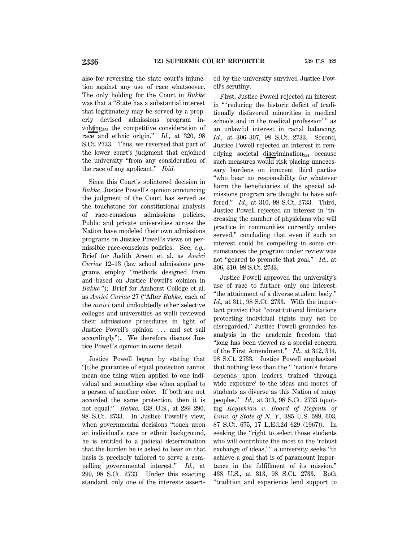also for reversing the state court's injunction against any use of race whatsoever. The only holding for the Court in *Bakke* was that a ''State has a substantial interest that legitimately may be served by a properly devised admissions program involv $\mu_{222}$  the competitive consideration of race and ethnic origin.'' *Id.,* at 320, 98 S.Ct. 2733. Thus, we reversed that part of the lower court's judgment that enjoined the university ''from any consideration of the race of any applicant.'' *Ibid.*

Since this Court's splintered decision in *Bakke,* Justice Powell's opinion announcing the judgment of the Court has served as the touchstone for constitutional analysis of race-conscious admissions policies. Public and private universities across the Nation have modeled their own admissions programs on Justice Powell's views on permissible race-conscious policies. See, *e.g.,* Brief for Judith Areen et al. as *Amici Curiae* 12–13 (law school admissions programs employ ''methods designed from and based on Justice Powell's opinion in *Bakke* "); Brief for Amherst College et al. as *Amici Curiae* 27 (''After *Bakke,* each of the *amici* (and undoubtedly other selective colleges and universities as well) reviewed their admissions procedures in light of Justice Powell's opinion ... and set sail accordingly''). We therefore discuss Justice Powell's opinion in some detail.

Justice Powell began by stating that ''[t]he guarantee of equal protection cannot mean one thing when applied to one individual and something else when applied to a person of another color. If both are not accorded the same protection, then it is not equal.'' *Bakke,* 438 U.S., at 289–290, 98 S.Ct. 2733. In Justice Powell's view, when governmental decisions ''touch upon an individual's race or ethnic background, he is entitled to a judicial determination that the burden he is asked to bear on that basis is precisely tailored to serve a compelling governmental interest.'' *Id.,* at 299, 98 S.Ct. 2733. Under this exacting standard, only one of the interests asserted by the university survived Justice Powell's scrutiny.

First, Justice Powell rejected an interest in '' 'reducing the historic deficit of traditionally disfavored minorities in medical schools and in the medical profession'" as an unlawful interest in racial balancing. *Id.,* at 306–307, 98 S.Ct. 2733. Second, Justice Powell rejected an interest in remedying societal discrimination<sub>324</sub> because such measures would risk placing unnecessary burdens on innocent third parties ''who bear no responsibility for whatever harm the beneficiaries of the special admissions program are thought to have suffered.'' *Id.,* at 310, 98 S.Ct. 2733. Third, Justice Powell rejected an interest in ''increasing the number of physicians who will practice in communities currently underserved,'' concluding that even if such an interest could be compelling in some circumstances the program under review was not ''geared to promote that goal.'' *Id.,* at 306, 310, 98 S.Ct. 2733.

Justice Powell approved the university's use of race to further only one interest: ''the attainment of a diverse student body.'' *Id.,* at 311, 98 S.Ct. 2733. With the important proviso that ''constitutional limitations protecting individual rights may not be disregarded,'' Justice Powell grounded his analysis in the academic freedom that ''long has been viewed as a special concern of the First Amendment.'' *Id.,* at 312, 314, 98 S.Ct. 2733. Justice Powell emphasized that nothing less than the '' 'nation's future depends upon leaders trained through wide exposure' to the ideas and mores of students as diverse as this Nation of many peoples.'' *Id.,* at 313, 98 S.Ct. 2733 (quoting *Keyishian v. Board of Regents of Univ. of State of N. Y.,* 385 U.S. 589, 603, 87 S.Ct. 675, 17 L.Ed.2d 629 (1967)). In seeking the "right to select those students who will contribute the most to the 'robust exchange of ideas,'" a university seeks "to achieve a goal that is of paramount importance in the fulfillment of its mission.'' 438 U.S., at 313, 98 S.Ct. 2733. Both ''tradition and experience lend support to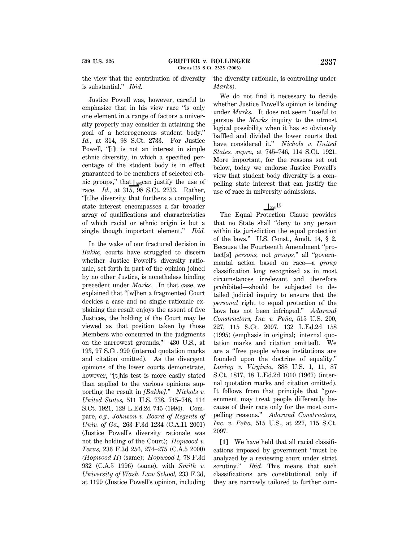the view that the contribution of diversity is substantial.'' *Ibid.*

Justice Powell was, however, careful to emphasize that in his view race "is only one element in a range of factors a university properly may consider in attaining the goal of a heterogeneous student body.'' *Id.,* at 314, 98 S.Ct. 2733. For Justice Powell, "[i]t is not an interest in simple ethnic diversity, in which a specified percentage of the student body is in effect guaranteed to be members of selected ethnic groups," that  $\log_{25}$ can justify the use of race. *Id.,* at 315, 98 S.Ct. 2733. Rather, ''[t]he diversity that furthers a compelling state interest encompasses a far broader array of qualifications and characteristics of which racial or ethnic origin is but a single though important element.'' *Ibid.*

In the wake of our fractured decision in *Bakke,* courts have struggled to discern whether Justice Powell's diversity rationale, set forth in part of the opinion joined by no other Justice, is nonetheless binding precedent under *Marks.* In that case, we explained that ''[w]hen a fragmented Court decides a case and no single rationale explaining the result enjoys the assent of five Justices, the holding of the Court may be viewed as that position taken by those Members who concurred in the judgments on the narrowest grounds.'' 430 U.S., at 193, 97 S.Ct. 990 (internal quotation marks and citation omitted). As the divergent opinions of the lower courts demonstrate, however, "[t]his test is more easily stated than applied to the various opinions supporting the result in *[Bakke]*.'' *Nichols v. United States,* 511 U.S. 738, 745–746, 114 S.Ct. 1921, 128 L.Ed.2d 745 (1994). Compare, *e.g., Johnson v. Board of Regents of Univ. of Ga.,* 263 F.3d 1234 (C.A.11 2001) (Justice Powell's diversity rationale was not the holding of the Court); *Hopwood v. Texas,* 236 F.3d 256, 274–275 (C.A.5 2000) *(Hopwood II*) (same); *Hopwood I,* 78 F.3d 932 (C.A.5 1996) (same), with *Smith v. University of Wash. Law School,* 233 F.3d, at 1199 (Justice Powell's opinion, including the diversity rationale, is controlling under *Marks*).

We do not find it necessary to decide whether Justice Powell's opinion is binding under *Marks.* It does not seem ''useful to pursue the *Marks* inquiry to the utmost logical possibility when it has so obviously baffled and divided the lower courts that have considered it.'' *Nichols v. United States, supra,* at 745–746, 114 S.Ct. 1921. More important, for the reasons set out below, today we endorse Justice Powell's view that student body diversity is a compelling state interest that can justify the use of race in university admissions.

# $\perp$ <sub>326</sub>B

The Equal Protection Clause provides that no State shall ''deny to any person within its jurisdiction the equal protection of the laws.'' U.S. Const., Amdt. 14, § 2. Because the Fourteenth Amendment ''protect[s] *persons,* not *groups,*'' all ''governmental action based on race—a *group* classification long recognized as in most circumstances irrelevant and therefore prohibited—should be subjected to detailed judicial inquiry to ensure that the *personal* right to equal protection of the laws has not been infringed.'' *Adarand Constructors, Inc. v. Peña,* 515 U.S. 200, 227, 115 S.Ct. 2097, 132 L.Ed.2d 158 (1995) (emphasis in original; internal quotation marks and citation omitted). We are a ''free people whose institutions are founded upon the doctrine of equality.'' *Loving v. Virginia,* 388 U.S. 1, 11, 87 S.Ct. 1817, 18 L.Ed.2d 1010 (1967) (internal quotation marks and citation omitted). It follows from that principle that ''government may treat people differently because of their race only for the most compelling reasons.'' *Adarand Constructors, Inc. v. Peña*, 515 U.S., at 227, 115 S.Ct. 2097.

**[1]** We have held that all racial classifications imposed by government ''must be analyzed by a reviewing court under strict scrutiny.'' *Ibid.* This means that such classifications are constitutional only if they are narrowly tailored to further com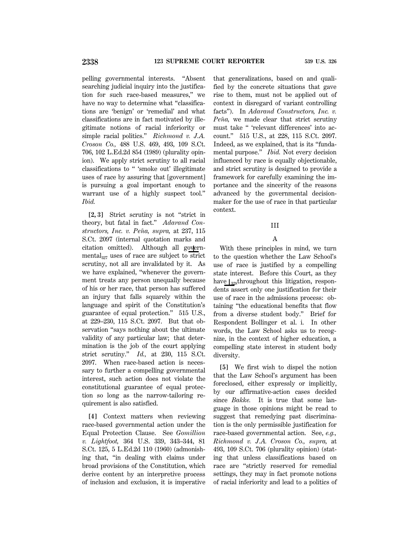pelling governmental interests. ''Absent searching judicial inquiry into the justification for such race-based measures,'' we have no way to determine what "classifications are 'benign' or 'remedial' and what classifications are in fact motivated by illegitimate notions of racial inferiority or simple racial politics.'' *Richmond v. J.A. Croson Co.,* 488 U.S. 469, 493, 109 S.Ct. 706, 102 L.Ed.2d 854 (1989) (plurality opinion). We apply strict scrutiny to all racial classifications to '' 'smoke out' illegitimate uses of race by assuring that [government] is pursuing a goal important enough to warrant use of a highly suspect tool.'' *Ibid.*

**[2, 3]** Strict scrutiny is not ''strict in theory, but fatal in fact.'' *Adarand Constructors, Inc. v. Peña, supra, at 237, 115* S.Ct. 2097 (internal quotation marks and citation omitted). Although all governmental $_{327}$  uses of race are subject to strict scrutiny, not all are invalidated by it. As we have explained, ''whenever the government treats any person unequally because of his or her race, that person has suffered an injury that falls squarely within the language and spirit of the Constitution's guarantee of equal protection.'' 515 U.S., at 229–230, 115 S.Ct. 2097. But that observation "says nothing about the ultimate validity of any particular law; that determination is the job of the court applying strict scrutiny.'' *Id.,* at 230, 115 S.Ct. 2097. When race-based action is necessary to further a compelling governmental interest, such action does not violate the constitutional guarantee of equal protection so long as the narrow-tailoring requirement is also satisfied.

**[4]** Context matters when reviewing race-based governmental action under the Equal Protection Clause. See *Gomillion v. Lightfoot,* 364 U.S. 339, 343–344, 81 S.Ct. 125, 5 L.Ed.2d 110 (1960) (admonishing that, ''in dealing with claims under broad provisions of the Constitution, which derive content by an interpretive process of inclusion and exclusion, it is imperative

that generalizations, based on and qualified by the concrete situations that gave rise to them, must not be applied out of context in disregard of variant controlling facts''). In *Adarand Constructors, Inc. v.* Peña, we made clear that strict scrutiny must take '' 'relevant differences' into account.'' 515 U.S., at 228, 115 S.Ct. 2097. Indeed, as we explained, that is its ''fundamental purpose.'' *Ibid.* Not every decision influenced by race is equally objectionable, and strict scrutiny is designed to provide a framework for carefully examining the importance and the sincerity of the reasons advanced by the governmental decisionmaker for the use of race in that particular context.

## III

### A

With these principles in mind, we turn to the question whether the Law School's use of race is justified by a compelling state interest. Before this Court, as they have  $\log_{228}$ throughout this litigation, respondents assert only one justification for their use of race in the admissions process: obtaining ''the educational benefits that flow from a diverse student body.'' Brief for Respondent Bollinger et al. i. In other words, the Law School asks us to recognize, in the context of higher education, a compelling state interest in student body diversity.

**[5]** We first wish to dispel the notion that the Law School's argument has been foreclosed, either expressly or implicitly, by our affirmative-action cases decided since *Bakke.* It is true that some language in those opinions might be read to suggest that remedying past discrimination is the only permissible justification for race-based governmental action. See, *e.g., Richmond v. J.A. Croson Co., supra,* at 493, 109 S.Ct. 706 (plurality opinion) (stating that unless classifications based on race are ''strictly reserved for remedial settings, they may in fact promote notions of racial inferiority and lead to a politics of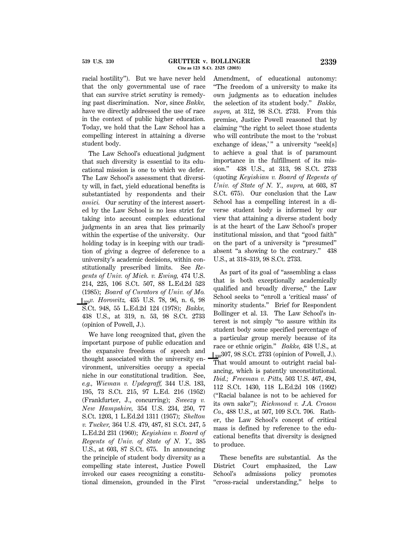racial hostility''). But we have never held that the only governmental use of race that can survive strict scrutiny is remedying past discrimination. Nor, since *Bakke,* have we directly addressed the use of race in the context of public higher education. Today, we hold that the Law School has a compelling interest in attaining a diverse student body.

The Law School's educational judgment that such diversity is essential to its educational mission is one to which we defer. The Law School's assessment that diversity will, in fact, yield educational benefits is substantiated by respondents and their *amici.* Our scrutiny of the interest asserted by the Law School is no less strict for taking into account complex educational judgments in an area that lies primarily within the expertise of the university. Our holding today is in keeping with our tradition of giving a degree of deference to a university's academic decisions, within constitutionally prescribed limits. See *Regents of Univ. of Mich. v. Ewing,* 474 U.S. 214, 225, 106 S.Ct. 507, 88 L.Ed.2d 523 (1985); *Board of Curators of Univ. of Mo.* S329*v. Horowitz,* 435 U.S. 78, 96, n. 6, 98 S.Ct. 948, 55 L.Ed.2d 124 (1978); *Bakke,* 438 U.S., at 319, n. 53, 98 S.Ct. 2733 (opinion of Powell, J.).

We have long recognized that, given the important purpose of public education and the expansive freedoms of speech and thought associated with the university environment, universities occupy a special niche in our constitutional tradition. See, *e.g., Wieman v. Updegraff,* 344 U.S. 183, 195, 73 S.Ct. 215, 97 L.Ed. 216 (1952) (Frankfurter, J., concurring); *Sweezy v. New Hampshire,* 354 U.S. 234, 250, 77 S.Ct. 1203, 1 L.Ed.2d 1311 (1957); *Shelton v. Tucker,* 364 U.S. 479, 487, 81 S.Ct. 247, 5 L.Ed.2d 231 (1960); *Keyishian v. Board of Regents of Univ. of State of N. Y.,* 385 U.S., at 603, 87 S.Ct. 675. In announcing the principle of student body diversity as a compelling state interest, Justice Powell invoked our cases recognizing a constitutional dimension, grounded in the First Amendment, of educational autonomy: ''The freedom of a university to make its own judgments as to education includes the selection of its student body.'' *Bakke, supra,* at 312, 98 S.Ct. 2733. From this premise, Justice Powell reasoned that by claiming ''the right to select those students who will contribute the most to the 'robust exchange of ideas,'" a university "seek[s] to achieve a goal that is of paramount importance in the fulfillment of its mission.'' 438 U.S., at 313, 98 S.Ct. 2733 (quoting *Keyishian v. Board of Regents of Univ. of State of N. Y., supra,* at 603, 87 S.Ct. 675). Our conclusion that the Law School has a compelling interest in a diverse student body is informed by our view that attaining a diverse student body is at the heart of the Law School's proper institutional mission, and that ''good faith'' on the part of a university is ''presumed'' absent ''a showing to the contrary.'' 438 U.S., at 318–319, 98 S.Ct. 2733.

As part of its goal of ''assembling a class that is both exceptionally academically qualified and broadly diverse,'' the Law School seeks to "enroll a 'critical mass' of minority students.'' Brief for Respondent Bollinger et al. 13. The Law School's interest is not simply ''to assure within its student body some specified percentage of a particular group merely because of its race or ethnic origin.'' *Bakke,* 438 U.S., at  $\frac{1}{330}$ 307, 98 S.Ct. 2733 (opinion of Powell, J.). That would amount to outright racial balancing, which is patently unconstitutional. *Ibid.; Freeman v. Pitts,* 503 U.S. 467, 494, 112 S.Ct. 1430, 118 L.Ed.2d 108 (1992) (''Racial balance is not to be achieved for its own sake''); *Richmond v. J.A. Croson Co.,* 488 U.S., at 507, 109 S.Ct. 706. Rather, the Law School's concept of critical mass is defined by reference to the educational benefits that diversity is designed to produce.

These benefits are substantial. As the District Court emphasized, the Law School's admissions policy promotes ''cross-racial understanding,'' helps to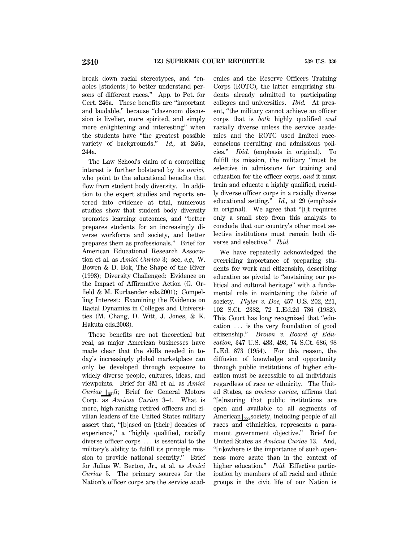break down racial stereotypes, and ''enables [students] to better understand persons of different races.'' App. to Pet. for Cert. 246a. These benefits are ''important and laudable,'' because ''classroom discussion is livelier, more spirited, and simply more enlightening and interesting'' when the students have ''the greatest possible variety of backgrounds.'' *Id.,* at 246a, 244a.

The Law School's claim of a compelling interest is further bolstered by its *amici,* who point to the educational benefits that flow from student body diversity. In addition to the expert studies and reports entered into evidence at trial, numerous studies show that student body diversity promotes learning outcomes, and ''better prepares students for an increasingly diverse workforce and society, and better prepares them as professionals.'' Brief for American Educational Research Association et al. as *Amici Curiae* 3; see, *e.g.,* W. Bowen & D. Bok, The Shape of the River (1998); Diversity Challenged: Evidence on the Impact of Affirmative Action (G. Orfield & M. Kurlaender eds.2001); Compelling Interest: Examining the Evidence on Racial Dynamics in Colleges and Universities (M. Chang, D. Witt, J. Jones, & K. Hakuta eds.2003).

These benefits are not theoretical but real, as major American businesses have made clear that the skills needed in today's increasingly global marketplace can only be developed through exposure to widely diverse people, cultures, ideas, and viewpoints. Brief for 3M et al. as *Amici Curiae*  $\left| \cdot \right|$ <sub>331</sub>5; Brief for General Motors Corp. as *Amicus Curiae* 3–4. What is more, high-ranking retired officers and civilian leaders of the United States military assert that, ''[b]ased on [their] decades of experience,'' a ''highly qualified, racially diverse officer corps  $\ldots$  is essential to the military's ability to fulfill its principle mission to provide national security.'' Brief for Julius W. Becton, Jr., et al. as *Amici Curiae* 5. The primary sources for the Nation's officer corps are the service academies and the Reserve Officers Training Corps (ROTC), the latter comprising students already admitted to participating colleges and universities. *Ibid.* At present, ''the military cannot achieve an officer corps that is *both* highly qualified *and* racially diverse unless the service academies and the ROTC used limited raceconscious recruiting and admissions policies.'' *Ibid.* (emphasis in original). To fulfill its mission, the military ''must be selective in admissions for training and education for the officer corps, *and* it must train and educate a highly qualified, racially diverse officer corps in a racially diverse educational setting.'' *Id.,* at 29 (emphasis in original). We agree that ''[i]t requires only a small step from this analysis to conclude that our country's other most selective institutions must remain both diverse and selective.'' *Ibid.*

We have repeatedly acknowledged the overriding importance of preparing students for work and citizenship, describing education as pivotal to ''sustaining our political and cultural heritage'' with a fundamental role in maintaining the fabric of society. *Plyler v. Doe,* 457 U.S. 202, 221, 102 S.Ct. 2382, 72 L.Ed.2d 786 (1982). This Court has long recognized that ''education  $\ldots$  is the very foundation of good citizenship.'' *Brown v. Board of Education,* 347 U.S. 483, 493, 74 S.Ct. 686, 98 L.Ed. 873 (1954). For this reason, the diffusion of knowledge and opportunity through public institutions of higher education must be accessible to all individuals regardless of race or ethnicity. The United States, as *amicus curiae,* affirms that ''[e]nsuring that public institutions are open and available to all segments of American  $\left\lfloor \frac{332}{2} \right\rfloor$  society, including people of all races and ethnicities, represents a paramount government objective.'' Brief for United States as *Amicus Curiae* 13. And, ''[n]owhere is the importance of such openness more acute than in the context of higher education.'' *Ibid.* Effective participation by members of all racial and ethnic groups in the civic life of our Nation is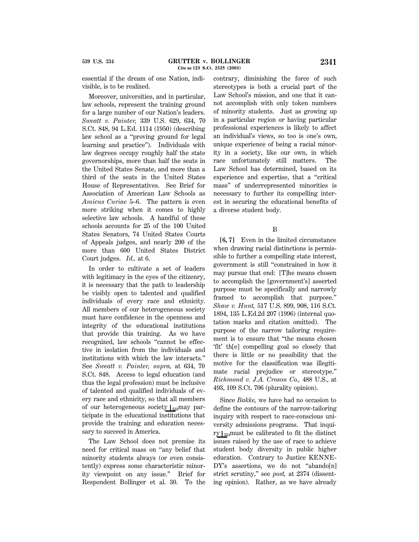essential if the dream of one Nation, indivisible, is to be realized.

Moreover, universities, and in particular, law schools, represent the training ground for a large number of our Nation's leaders. *Sweatt v. Painter,* 339 U.S. 629, 634, 70 S.Ct. 848, 94 L.Ed. 1114 (1950) (describing law school as a ''proving ground for legal learning and practice''). Individuals with law degrees occupy roughly half the state governorships, more than half the seats in the United States Senate, and more than a third of the seats in the United States House of Representatives. See Brief for Association of American Law Schools as *Amicus Curiae* 5–6. The pattern is even more striking when it comes to highly selective law schools. A handful of these schools accounts for 25 of the 100 United States Senators, 74 United States Courts of Appeals judges, and nearly 200 of the more than 600 United States District Court judges. *Id.,* at 6.

In order to cultivate a set of leaders with legitimacy in the eyes of the citizenry, it is necessary that the path to leadership be visibly open to talented and qualified individuals of every race and ethnicity. All members of our heterogeneous society must have confidence in the openness and integrity of the educational institutions that provide this training. As we have recognized, law schools ''cannot be effective in isolation from the individuals and institutions with which the law interacts.'' See *Sweatt v. Painter, supra,* at 634, 70 S.Ct. 848. Access to legal education (and thus the legal profession) must be inclusive of talented and qualified individuals of every race and ethnicity, so that all members of our heterogeneous society  $\log_{133}$ may participate in the educational institutions that provide the training and education necessary to succeed in America.

The Law School does not premise its need for critical mass on ''any belief that minority students always (or even consistently) express some characteristic minority viewpoint on any issue.'' Brief for Respondent Bollinger et al. 30. To the contrary, diminishing the force of such stereotypes is both a crucial part of the Law School's mission, and one that it cannot accomplish with only token numbers of minority students. Just as growing up in a particular region or having particular professional experiences is likely to affect an individual's views, so too is one's own, unique experience of being a racial minority in a society, like our own, in which race unfortunately still matters. The Law School has determined, based on its experience and expertise, that a ''critical mass'' of underrepresented minorities is necessary to further its compelling interest in securing the educational benefits of a diverse student body.

B

**[6, 7]** Even in the limited circumstance when drawing racial distinctions is permissible to further a compelling state interest, government is still ''constrained in how it may pursue that end: [T]he means chosen to accomplish the [government's] asserted purpose must be specifically and narrowly framed to accomplish that purpose.'' *Shaw v. Hunt,* 517 U.S. 899, 908, 116 S.Ct. 1894, 135 L.Ed.2d 207 (1996) (internal quotation marks and citation omitted). The purpose of the narrow tailoring requirement is to ensure that ''the means chosen 'fit' th[e] compelling goal so closely that there is little or no possibility that the motive for the classification was illegitimate racial prejudice or stereotype.'' *Richmond v. J.A. Croson Co.,* 488 U.S., at 493, 109 S.Ct. 706 (plurality opinion).

Since *Bakke,* we have had no occasion to define the contours of the narrow-tailoring inquiry with respect to race-conscious university admissions programs. That inquiry  $\left| \cdot \right|$  assumes be calibrated to fit the distinct issues raised by the use of race to achieve student body diversity in public higher education. Contrary to Justice KENNE-DY's assertions, we do not "abando[n] strict scrutiny,'' see *post,* at 2374 (dissenting opinion). Rather, as we have already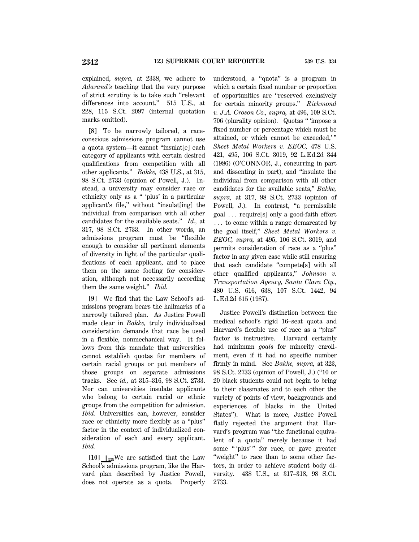explained, *supra,* at 2338, we adhere to *Adarand's* teaching that the very purpose of strict scrutiny is to take such ''relevant differences into account.'' 515 U.S., at 228, 115 S.Ct. 2097 (internal quotation marks omitted).

**[8]** To be narrowly tailored, a raceconscious admissions program cannot use a quota system—it cannot ''insulat[e] each category of applicants with certain desired qualifications from competition with all other applicants.'' *Bakke,* 438 U.S., at 315, 98 S.Ct. 2733 (opinion of Powell, J.). Instead, a university may consider race or ethnicity only as a '' 'plus' in a particular applicant's file,'' without ''insulat[ing] the individual from comparison with all other candidates for the available seats.'' *Id.,* at 317, 98 S.Ct. 2733. In other words, an admissions program must be ''flexible enough to consider all pertinent elements of diversity in light of the particular qualifications of each applicant, and to place them on the same footing for consideration, although not necessarily according them the same weight.'' *Ibid.*

**[9]** We find that the Law School's admissions program bears the hallmarks of a narrowly tailored plan. As Justice Powell made clear in *Bakke,* truly individualized consideration demands that race be used in a flexible, nonmechanical way. It follows from this mandate that universities cannot establish quotas for members of certain racial groups or put members of those groups on separate admissions tracks. See *id.,* at 315–316, 98 S.Ct. 2733. Nor can universities insulate applicants who belong to certain racial or ethnic groups from the competition for admission. *Ibid.* Universities can, however, consider race or ethnicity more flexibly as a ''plus'' factor in the context of individualized consideration of each and every applicant. *Ibid.*

 $[10]$   $\vert_{335}$ We are satisfied that the Law School's admissions program, like the Harvard plan described by Justice Powell, does not operate as a quota. Properly understood, a ''quota'' is a program in which a certain fixed number or proportion of opportunities are ''reserved exclusively for certain minority groups.'' *Richmond v. J.A. Croson Co., supra,* at 496, 109 S.Ct. 706 (plurality opinion). Quotas '' 'impose a fixed number or percentage which must be attained, or which cannot be exceeded,' '' *Sheet Metal Workers v. EEOC,* 478 U.S. 421, 495, 106 S.Ct. 3019, 92 L.Ed.2d 344 (1986) (O'CONNOR, J., concurring in part and dissenting in part), and ''insulate the individual from comparison with all other candidates for the available seats,'' *Bakke, supra,* at 317, 98 S.Ct. 2733 (opinion of Powell, J.). In contrast, "a permissible goal ... require[s] only a good-faith effort  $\ldots$  to come within a range demarcated by the goal itself,'' *Sheet Metal Workers v. EEOC, supra,* at 495, 106 S.Ct. 3019, and permits consideration of race as a ''plus'' factor in any given case while still ensuring that each candidate ''compete[s] with all other qualified applicants,'' *Johnson v. Transportation Agency, Santa Clara Cty.,* 480 U.S. 616, 638, 107 S.Ct. 1442, 94 L.Ed.2d 615 (1987).

Justice Powell's distinction between the medical school's rigid 16–seat quota and Harvard's flexible use of race as a ''plus'' factor is instructive. Harvard certainly had minimum *goals* for minority enrollment, even if it had no specific number firmly in mind. See *Bakke, supra,* at 323, 98 S.Ct. 2733 (opinion of Powell, J.) (''10 or 20 black students could not begin to bring to their classmates and to each other the variety of points of view, backgrounds and experiences of blacks in the United States''). What is more, Justice Powell flatly rejected the argument that Harvard's program was ''the functional equivalent of a quota'' merely because it had some "'plus'" for race, or gave greater "weight" to race than to some other factors, in order to achieve student body diversity. 438 U.S., at 317–318, 98 S.Ct. 2733.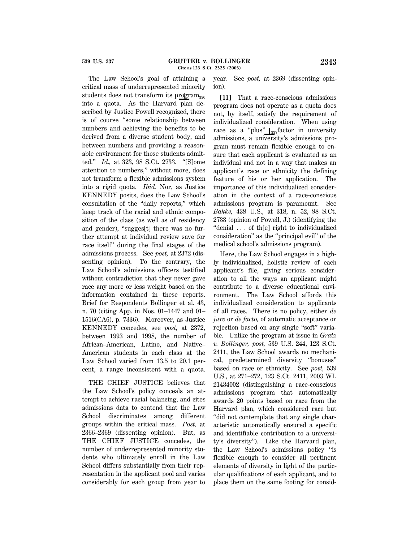The Law School's goal of attaining a critical mass of underrepresented minority students does not transform its program $_{336}$ into a quota. As the Harvard plan described by Justice Powell recognized, there is of course ''some relationship between numbers and achieving the benefits to be derived from a diverse student body, and between numbers and providing a reasonable environment for those students admitted.'' *Id.,* at 323, 98 S.Ct. 2733. ''[S]ome attention to numbers,'' without more, does not transform a flexible admissions system into a rigid quota. *Ibid.* Nor, as Justice KENNEDY posits, does the Law School's consultation of the ''daily reports,'' which keep track of the racial and ethnic composition of the class (as well as of residency and gender), ''sugges[t] there was no further attempt at individual review save for race itself'' during the final stages of the admissions process. See *post,* at 2372 (dissenting opinion). To the contrary, the Law School's admissions officers testified without contradiction that they never gave race any more or less weight based on the information contained in these reports. Brief for Respondents Bollinger et al. 43, n. 70 (citing App. in Nos. 01–1447 and 01– 1516(CA6), p. 7336). Moreover, as Justice KENNEDY concedes, see *post,* at 2372, between 1993 and 1998, the number of African–American, Latino, and Native– American students in each class at the Law School varied from 13.5 to 20.1 percent, a range inconsistent with a quota.

THE CHIEF JUSTICE believes that the Law School's policy conceals an attempt to achieve racial balancing, and cites admissions data to contend that the Law School discriminates among different groups within the critical mass. *Post,* at 2366–2369 (dissenting opinion). But, as THE CHIEF JUSTICE concedes, the number of underrepresented minority students who ultimately enroll in the Law School differs substantially from their representation in the applicant pool and varies considerably for each group from year to year. See *post,* at 2369 (dissenting opinion).

**[11]** That a race-conscious admissions program does not operate as a quota does not, by itself, satisfy the requirement of individualized consideration. When using race as a "plus"  $\frac{1}{337}$ factor in university admissions, a university's admissions program must remain flexible enough to ensure that each applicant is evaluated as an individual and not in a way that makes an applicant's race or ethnicity the defining feature of his or her application. The importance of this individualized consideration in the context of a race-conscious admissions program is paramount. See *Bakke,* 438 U.S., at 318, n. 52, 98 S.Ct. 2733 (opinion of Powell, J.) (identifying the "denial  $\ldots$  of th[e] right to individualized consideration'' as the ''principal evil'' of the medical school's admissions program).

Here, the Law School engages in a highly individualized, holistic review of each applicant's file, giving serious consideration to all the ways an applicant might contribute to a diverse educational environment. The Law School affords this individualized consideration to applicants of all races. There is no policy, either *de jure* or *de facto,* of automatic acceptance or rejection based on any single ''soft'' variable. Unlike the program at issue in *Gratz v. Bollinger, post,* 539 U.S. 244, 123 S.Ct. 2411, the Law School awards no mechanical, predetermined diversity ''bonuses'' based on race or ethnicity. See *post,* 539 U.S., at 271–272, 123 S.Ct. 2411, 2003 WL 21434002 (distinguishing a race-conscious admissions program that automatically awards 20 points based on race from the Harvard plan, which considered race but ''did not contemplate that any single characteristic automatically ensured a specific and identifiable contribution to a university's diversity''). Like the Harvard plan, the Law School's admissions policy ''is flexible enough to consider all pertinent elements of diversity in light of the particular qualifications of each applicant, and to place them on the same footing for consid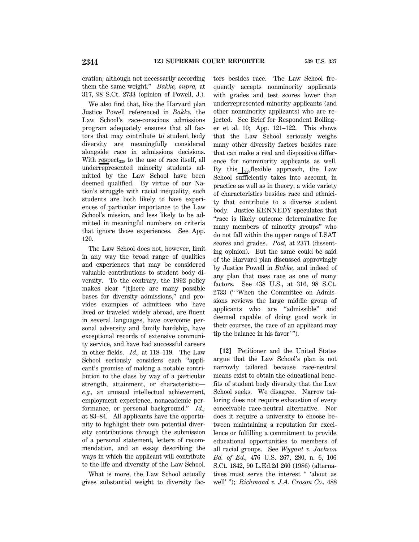eration, although not necessarily according them the same weight.'' *Bakke, supra,* at 317, 98 S.Ct. 2733 (opinion of Powell, J.).

We also find that, like the Harvard plan Justice Powell referenced in *Bakke,* the Law School's race-conscious admissions program adequately ensures that all factors that may contribute to student body diversity are meaningfully considered alongside race in admissions decisions. With respect<sub>338</sub> to the use of race itself, all underrepresented minority students admitted by the Law School have been deemed qualified. By virtue of our Nation's struggle with racial inequality, such students are both likely to have experiences of particular importance to the Law School's mission, and less likely to be admitted in meaningful numbers on criteria that ignore those experiences. See App. 120.

The Law School does not, however, limit in any way the broad range of qualities and experiences that may be considered valuable contributions to student body diversity. To the contrary, the 1992 policy makes clear ''[t]here are many possible bases for diversity admissions,'' and provides examples of admittees who have lived or traveled widely abroad, are fluent in several languages, have overcome personal adversity and family hardship, have exceptional records of extensive community service, and have had successful careers in other fields. *Id.,* at 118–119. The Law School seriously considers each ''applicant's promise of making a notable contribution to the class by way of a particular strength, attainment, or characteristic *e.g.,* an unusual intellectual achievement, employment experience, nonacademic performance, or personal background.'' *Id.,* at 83–84. All applicants have the opportunity to highlight their own potential diversity contributions through the submission of a personal statement, letters of recommendation, and an essay describing the ways in which the applicant will contribute to the life and diversity of the Law School.

What is more, the Law School actually gives substantial weight to diversity factors besides race. The Law School frequently accepts nonminority applicants with grades and test scores lower than underrepresented minority applicants (and other nonminority applicants) who are rejected. See Brief for Respondent Bollinger et al. 10; App. 121–122. This shows that the Law School seriously weighs many other diversity factors besides race that can make a real and dispositive difference for nonminority applicants as well. By this  $\int_{339}$ flexible approach, the Law School sufficiently takes into account, in practice as well as in theory, a wide variety of characteristics besides race and ethnicity that contribute to a diverse student body. Justice KENNEDY speculates that ''race is likely outcome determinative for many members of minority groups'' who do not fall within the upper range of LSAT scores and grades. *Post,* at 2371 (dissenting opinion). But the same could be said of the Harvard plan discussed approvingly by Justice Powell in *Bakke,* and indeed of any plan that uses race as one of many factors. See 438 U.S., at 316, 98 S.Ct. 2733 ('' 'When the Committee on Admissions reviews the large middle group of applicants who are ''admissible'' and deemed capable of doing good work in their courses, the race of an applicant may tip the balance in his favor' '').

**[12]** Petitioner and the United States argue that the Law School's plan is not narrowly tailored because race-neutral means exist to obtain the educational benefits of student body diversity that the Law School seeks. We disagree. Narrow tailoring does not require exhaustion of every conceivable race-neutral alternative. Nor does it require a university to choose between maintaining a reputation for excellence or fulfilling a commitment to provide educational opportunities to members of all racial groups. See *Wygant v. Jackson Bd. of Ed.,* 476 U.S. 267, 280, n. 6, 106 S.Ct. 1842, 90 L.Ed.2d 260 (1986) (alternatives must serve the interest '' 'about as well' ''); *Richmond v. J.A. Croson Co.,* 488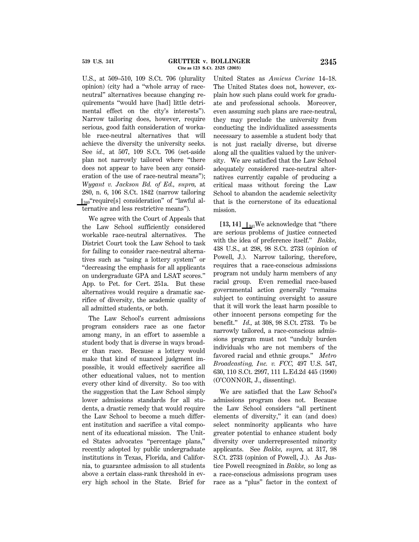U.S., at 509–510, 109 S.Ct. 706 (plurality opinion) (city had a ''whole array of raceneutral'' alternatives because changing requirements ''would have [had] little detrimental effect on the city's interests''). Narrow tailoring does, however, require serious, good faith consideration of workable race-neutral alternatives that will achieve the diversity the university seeks. See *id.,* at 507, 109 S.Ct. 706 (set-aside plan not narrowly tailored where ''there does not appear to have been any consideration of the use of race-neutral means''); *Wygant v. Jackson Bd. of Ed., supra,* at 280, n. 6, 106 S.Ct. 1842 (narrow tailoring  $\left\lfloor \frac{340}{240} \right\rfloor$  consideration" of "lawful alternative and less restrictive means'').

We agree with the Court of Appeals that the Law School sufficiently considered workable race-neutral alternatives. The District Court took the Law School to task for failing to consider race-neutral alternatives such as ''using a lottery system'' or ''decreasing the emphasis for all applicants on undergraduate GPA and LSAT scores.'' App. to Pet. for Cert. 251a. But these alternatives would require a dramatic sacrifice of diversity, the academic quality of all admitted students, or both.

The Law School's current admissions program considers race as one factor among many, in an effort to assemble a student body that is diverse in ways broader than race. Because a lottery would make that kind of nuanced judgment impossible, it would effectively sacrifice all other educational values, not to mention every other kind of diversity. So too with the suggestion that the Law School simply lower admissions standards for all students, a drastic remedy that would require the Law School to become a much different institution and sacrifice a vital component of its educational mission. The United States advocates ''percentage plans,'' recently adopted by public undergraduate institutions in Texas, Florida, and California, to guarantee admission to all students above a certain class-rank threshold in every high school in the State. Brief for

United States as *Amicus Curiae* 14–18. The United States does not, however, explain how such plans could work for graduate and professional schools. Moreover, even assuming such plans are race-neutral, they may preclude the university from conducting the individualized assessments necessary to assemble a student body that is not just racially diverse, but diverse along all the qualities valued by the university. We are satisfied that the Law School adequately considered race-neutral alternatives currently capable of producing a critical mass without forcing the Law School to abandon the academic selectivity that is the cornerstone of its educational mission.

 $[13, 14]$   $\overline{\phantom{a}}_{341}$ We acknowledge that "there are serious problems of justice connected with the idea of preference itself.'' *Bakke,* 438 U.S., at 298, 98 S.Ct. 2733 (opinion of Powell, J.). Narrow tailoring, therefore, requires that a race-conscious admissions program not unduly harm members of any racial group. Even remedial race-based governmental action generally ''remains subject to continuing oversight to assure that it will work the least harm possible to other innocent persons competing for the benefit.'' *Id.,* at 308, 98 S.Ct. 2733. To be narrowly tailored, a race-conscious admissions program must not ''unduly burden individuals who are not members of the favored racial and ethnic groups.'' *Metro Broadcasting, Inc. v. FCC,* 497 U.S. 547, 630, 110 S.Ct. 2997, 111 L.Ed.2d 445 (1990) (O'CONNOR, J., dissenting).

We are satisfied that the Law School's admissions program does not. Because the Law School considers ''all pertinent elements of diversity,'' it can (and does) select nonminority applicants who have greater potential to enhance student body diversity over underrepresented minority applicants. See *Bakke, supra,* at 317, 98 S.Ct. 2733 (opinion of Powell, J.). As Justice Powell recognized in *Bakke,* so long as a race-conscious admissions program uses race as a ''plus'' factor in the context of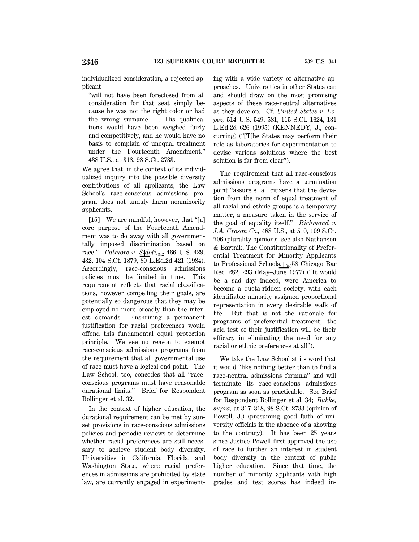individualized consideration, a rejected applicant

''will not have been foreclosed from all consideration for that seat simply because he was not the right color or had the wrong surname $\ldots$ . His qualifications would have been weighed fairly and competitively, and he would have no basis to complain of unequal treatment under the Fourteenth Amendment.'' 438 U.S., at 318, 98 S.Ct. 2733.

We agree that, in the context of its individualized inquiry into the possible diversity contributions of all applicants, the Law School's race-conscious admissions program does not unduly harm nonminority applicants.

[15] We are mindful, however, that "[a] core purpose of the Fourteenth Amendment was to do away with all governmentally imposed discrimination based on race." *Palmore v. Sidoti*, 342 466 U.S. 429, 432, 104 S.Ct. 1879, 80 L.Ed.2d 421 (1984). Accordingly, race-conscious admissions policies must be limited in time. This requirement reflects that racial classifications, however compelling their goals, are potentially so dangerous that they may be employed no more broadly than the interest demands. Enshrining a permanent justification for racial preferences would offend this fundamental equal protection principle. We see no reason to exempt race-conscious admissions programs from the requirement that all governmental use of race must have a logical end point. The Law School, too, concedes that all "raceconscious programs must have reasonable durational limits.'' Brief for Respondent Bollinger et al. 32.

In the context of higher education, the durational requirement can be met by sunset provisions in race-conscious admissions policies and periodic reviews to determine whether racial preferences are still necessary to achieve student body diversity. Universities in California, Florida, and Washington State, where racial preferences in admissions are prohibited by state law, are currently engaged in experimenting with a wide variety of alternative approaches. Universities in other States can and should draw on the most promising aspects of these race-neutral alternatives as they develop. Cf. *United States v. Lopez,* 514 U.S. 549, 581, 115 S.Ct. 1624, 131 L.Ed.2d 626 (1995) (KENNEDY, J., concurring) (''[T]he States may perform their role as laboratories for experimentation to devise various solutions where the best solution is far from clear'').

The requirement that all race-conscious admissions programs have a termination point ''assure[s] all citizens that the deviation from the norm of equal treatment of all racial and ethnic groups is a temporary matter, a measure taken in the service of the goal of equality itself.'' *Richmond v. J.A. Croson Co.,* 488 U.S., at 510, 109 S.Ct. 706 (plurality opinion); see also Nathanson & Bartnik, The Constitutionality of Preferential Treatment for Minority Applicants to Professional Schools, 134358 Chicago Bar Rec. 282, 293 (May–June 1977) (''It would be a sad day indeed, were America to become a quota-ridden society, with each identifiable minority assigned proportional representation in every desirable walk of life. But that is not the rationale for programs of preferential treatment; the acid test of their justification will be their efficacy in eliminating the need for any racial or ethnic preferences at all'').

We take the Law School at its word that it would ''like nothing better than to find a race-neutral admissions formula'' and will terminate its race-conscious admissions program as soon as practicable. See Brief for Respondent Bollinger et al. 34; *Bakke, supra,* at 317–318, 98 S.Ct. 2733 (opinion of Powell, J.) (presuming good faith of university officials in the absence of a showing to the contrary). It has been 25 years since Justice Powell first approved the use of race to further an interest in student body diversity in the context of public higher education. Since that time, the number of minority applicants with high grades and test scores has indeed in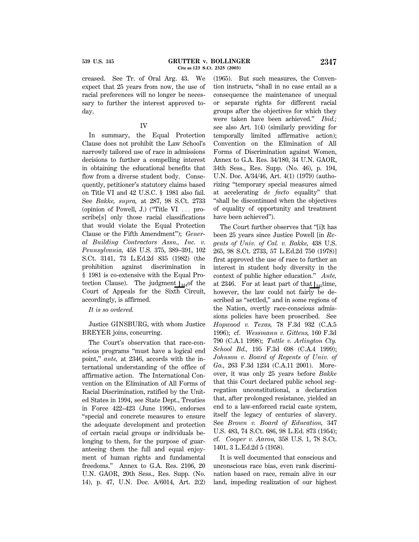creased. See Tr. of Oral Arg. 43. We expect that 25 years from now, the use of racial preferences will no longer be necessary to further the interest approved today.

# IV

In summary, the Equal Protection Clause does not prohibit the Law School's narrowly tailored use of race in admissions decisions to further a compelling interest in obtaining the educational benefits that flow from a diverse student body. Consequently, petitioner's statutory claims based on Title VI and 42 U.S.C. § 1981 also fail. See *Bakke, supra,* at 287, 98 S.Ct. 2733 (opinion of Powell, J.) ("Title VI  $\ldots$  proscribe[s] only those racial classifications that would violate the Equal Protection Clause or the Fifth Amendment''); *General Building Contractors Assn., Inc. v. Pennsylvania,* 458 U.S. 375, 389–391, 102 S.Ct. 3141, 73 L.Ed.2d 835 (1982) (the prohibition against discrimination in § 1981 is co-extensive with the Equal Protection Clause). The judgment  $\int_{344}$ of the Court of Appeals for the Sixth Circuit, accordingly, is affirmed.

*It is so ordered.*

Justice GINSBURG, with whom Justice BREYER joins, concurring.

The Court's observation that race-conscious programs ''must have a logical end point,'' *ante,* at 2346, accords with the international understanding of the office of affirmative action. The International Convention on the Elimination of All Forms of Racial Discrimination, ratified by the United States in 1994, see State Dept., Treaties in Force 422–423 (June 1996), endorses ''special and concrete measures to ensure the adequate development and protection of certain racial groups or individuals belonging to them, for the purpose of guaranteeing them the full and equal enjoyment of human rights and fundamental freedoms.'' Annex to G.A. Res. 2106, 20 U.N. GAOR, 20th Sess., Res. Supp. (No. 14), p. 47, U.N. Doc. A/6014, Art. 2(2) (1965). But such measures, the Convention instructs, ''shall in no case entail as a consequence the maintenance of unequal or separate rights for different racial groups after the objectives for which they were taken have been achieved.'' *Ibid.;* see also Art. 1(4) (similarly providing for temporally limited affirmative action); Convention on the Elimination of All Forms of Discrimination against Women, Annex to G.A. Res. 34/180, 34 U.N. GAOR, 34th Sess., Res. Supp. (No. 46), p. 194, U.N. Doc. A/34/46, Art. 4(1) (1979) (authorizing ''temporary special measures aimed at accelerating *de facto* equality'' that ''shall be discontinued when the objectives of equality of opportunity and treatment have been achieved'').

The Court further observes that ''[i]t has been 25 years since Justice Powell [in *Regents of Univ. of Cal. v. Bakke,* 438 U.S. 265, 98 S.Ct. 2733, 57 L.Ed.2d 750 (1978)] first approved the use of race to further an interest in student body diversity in the context of public higher education.'' *Ante,* at 2346. For at least part of that  $\left| \cdot \right|$  s<sub>45</sub>time, however, the law could not fairly be described as "settled," and in some regions of the Nation, overtly race-conscious admissions policies have been proscribed. See *Hopwood v. Texas,* 78 F.3d 932 (C.A.5 1996); cf. *Wessmann v. Gittens,* 160 F.3d 790 (C.A.1 1998); *Tuttle v. Arlington Cty. School Bd.,* 195 F.3d 698 (C.A.4 1999); *Johnson v. Board of Regents of Univ. of Ga.,* 263 F.3d 1234 (C.A.11 2001). Moreover, it was only 25 years before *Bakke* that this Court declared public school segregation unconstitutional, a declaration that, after prolonged resistance, yielded an end to a law-enforced racial caste system, itself the legacy of centuries of slavery. See *Brown v. Board of Education,* 347 U.S. 483, 74 S.Ct. 686, 98 L.Ed. 873 (1954); cf. *Cooper v. Aaron,* 358 U.S. 1, 78 S.Ct. 1401, 3 L.Ed.2d 5 (1958).

It is well documented that conscious and unconscious race bias, even rank discrimination based on race, remain alive in our land, impeding realization of our highest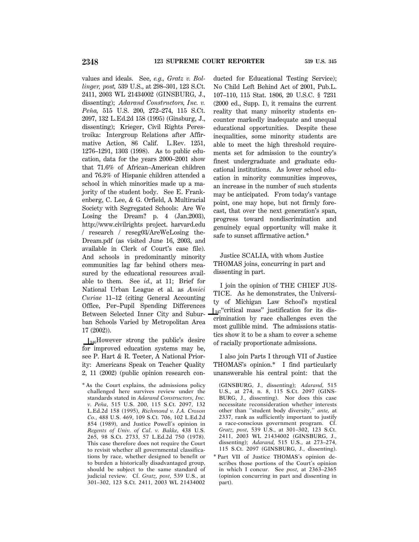values and ideals. See, *e.g., Gratz v. Bollinger, post,* 539 U.S., at 298–301, 123 S.Ct. 2411, 2003 WL 21434002 (GINSBURG, J., dissenting); *Adarand Constructors, Inc. v.* Peña, 515 U.S. 200, 272-274, 115 S.Ct. 2097, 132 L.Ed.2d 158 (1995) (Ginsburg, J., dissenting); Krieger, Civil Rights Perestroika: Intergroup Relations after Affirmative Action, 86 Calif. L.Rev. 1251, 1276–1291, 1303 (1998). As to public education, data for the years 2000–2001 show that 71.6% of African–American children and 76.3% of Hispanic children attended a school in which minorities made up a majority of the student body. See E. Frankenberg, C. Lee, & G. Orfield, A Multiracial Society with Segregated Schools: Are We Losing the Dream? p. 4 (Jan.2003), http://www.civilrights project. harvard.edu / research / reseg03/AreWeLosing the-Dream.pdf (as visited June 16, 2003, and available in Clerk of Court's case file). And schools in predominantly minority communities lag far behind others measured by the educational resources available to them. See *id.,* at 11; Brief for National Urban League et al. as *Amici Curiae* 11–12 (citing General Accounting Office, Per–Pupil Spending Differences Between Selected Inner City and Suburban Schools Varied by Metropolitan Area 17 (2002)).

 $\rm_{346}$ However strong the public's desire for improved education systems may be, see P. Hart & R. Teeter, A National Priority: Americans Speak on Teacher Quality 2, 11 (2002) (public opinion research con-

ducted for Educational Testing Service); No Child Left Behind Act of 2001, Pub.L. 107–110, 115 Stat. 1806, 20 U.S.C. § 7231 (2000 ed., Supp. I), it remains the current reality that many minority students encounter markedly inadequate and unequal educational opportunities. Despite these inequalities, some minority students are able to meet the high threshold requirements set for admission to the country's finest undergraduate and graduate educational institutions. As lower school education in minority communities improves, an increase in the number of such students may be anticipated. From today's vantage point, one may hope, but not firmly forecast, that over the next generation's span, progress toward nondiscrimination and genuinely equal opportunity will make it safe to sunset affirmative action.\*

Justice SCALIA, with whom Justice THOMAS joins, concurring in part and dissenting in part.

I join the opinion of THE CHIEF JUS-TICE. As he demonstrates, the University of Michigan Law School's mystical  $\frac{1}{347}$ "critical mass" justification for its discrimination by race challenges even the most gullible mind. The admissions statistics show it to be a sham to cover a scheme of racially proportionate admissions.

I also join Parts I through VII of Justice THOMAS's opinion.\* I find particularly unanswerable his central point: that the

(GINSBURG, J., dissenting); *Adarand,* 515 U.S., at 274, n. 8, 115 S.Ct. 2097 (GINS-BURG, J., dissenting). Nor does this case necessitate reconsideration whether interests other than ''student body diversity,'' *ante,* at 2337, rank as sufficiently important to justify a race-conscious government program. Cf. *Gratz, post,* 539 U.S., at 301–302, 123 S.Ct. 2411, 2003 WL 21434002 (GINSBURG, J., dissenting); *Adarand,* 515 U.S., at 273–274, 115 S.Ct. 2097 (GINSBURG, J., dissenting).

\* Part VII of Justice THOMAS's opinion describes those portions of the Court's opinion in which I concur. See *post,* at 2363–2365 (opinion concurring in part and dissenting in part).

<sup>\*</sup> As the Court explains, the admissions policy challenged here survives review under the standards stated in *Adarand Constructors, Inc. v. Peña,* 515 U.S. 200, 115 S.Ct. 2097, 132 L.Ed.2d 158 (1995), *Richmond v. J.A. Croson Co.,* 488 U.S. 469, 109 S.Ct. 706, 102 L.Ed.2d 854 (1989), and Justice Powell's opinion in *Regents of Univ. of Cal. v. Bakke,* 438 U.S. 265, 98 S.Ct. 2733, 57 L.Ed.2d 750 (1978). This case therefore does not require the Court to revisit whether all governmental classifications by race, whether designed to benefit or to burden a historically disadvantaged group, should be subject to the same standard of judicial review. Cf. *Gratz, post,* 539 U.S., at 301–302, 123 S.Ct. 2411, 2003 WL 21434002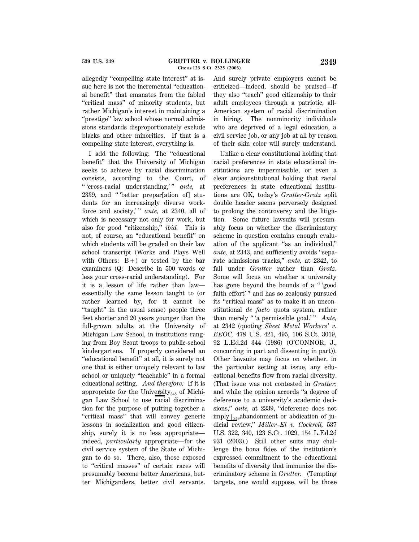allegedly ''compelling state interest'' at issue here is not the incremental "educational benefit'' that emanates from the fabled ''critical mass'' of minority students, but rather Michigan's interest in maintaining a ''prestige'' law school whose normal admissions standards disproportionately exclude blacks and other minorities. If that is a compelling state interest, everything is.

I add the following: The ''educational benefit'' that the University of Michigan seeks to achieve by racial discrimination consists, according to the Court, of '' 'cross-racial understanding,' '' *ante,* at 2339, and '' 'better prepar[ation of] students for an increasingly diverse workforce and society," ante, at 2340, all of which is necessary not only for work, but also for good ''citizenship,'' *ibid.* This is not, of course, an ''educational benefit'' on which students will be graded on their law school transcript (Works and Plays Well with Others:  $B+$ ) or tested by the bar examiners (Q: Describe in 500 words or less your cross-racial understanding). For it is a lesson of life rather than law essentially the same lesson taught to (or rather learned by, for it cannot be ''taught'' in the usual sense) people three feet shorter and 20 years younger than the full-grown adults at the University of Michigan Law School, in institutions ranging from Boy Scout troops to public-school kindergartens. If properly considered an ''educational benefit'' at all, it is surely not one that is either uniquely relevant to law school or uniquely "teachable" in a formal educational setting. *And therefore:* If it is appropriate for the University<sub>348</sub> of Michigan Law School to use racial discrimination for the purpose of putting together a ''critical mass'' that will convey generic lessons in socialization and good citizenship, surely it is no less appropriate indeed, *particularly* appropriate—for the civil service system of the State of Michigan to do so. There, also, those exposed to ''critical masses'' of certain races will presumably become better Americans, better Michiganders, better civil servants. And surely private employers cannot be criticized—indeed, should be praised—if they also ''teach'' good citizenship to their adult employees through a patriotic, all-American system of racial discrimination in hiring. The nonminority individuals who are deprived of a legal education, a civil service job, or any job at all by reason of their skin color will surely understand.

Unlike a clear constitutional holding that racial preferences in state educational institutions are impermissible, or even a clear anticonstitutional holding that racial preferences in state educational institutions are OK, today's *Grutter*-*Gratz* split double header seems perversely designed to prolong the controversy and the litigation. Some future lawsuits will presumably focus on whether the discriminatory scheme in question contains enough evaluation of the applicant ''as an individual,'' *ante,* at 2343, and sufficiently avoids ''separate admissions tracks,'' *ante,* at 2342, to fall under *Grutter* rather than *Gratz*. Some will focus on whether a university has gone beyond the bounds of a "'good faith effort'" and has so zealously pursued its ''critical mass'' as to make it an unconstitutional *de facto* quota system, rather than merely '' 'a permissible goal.' '' *Ante,* at 2342 (quoting *Sheet Metal Workers' v. EEOC,* 478 U.S. 421, 495, 106 S.Ct. 3019, 92 L.Ed.2d 344 (1986) (O'CONNOR, J., concurring in part and dissenting in part)). Other lawsuits may focus on whether, in the particular setting at issue, any educational benefits flow from racial diversity. (That issue was not contested in *Grutter;* and while the opinion accords ''a degree of deference to a university's academic decisions,'' *ante,* at 2339, ''deference does not imply  $\left| \right|_{349}$ abandonment or abdication of judicial review,'' *Miller–El v. Cockrell,* 537 U.S. 322, 340, 123 S.Ct. 1029, 154 L.Ed.2d 931 (2003).) Still other suits may challenge the bona fides of the institution's expressed commitment to the educational benefits of diversity that immunize the discriminatory scheme in *Grutter.* (Tempting targets, one would suppose, will be those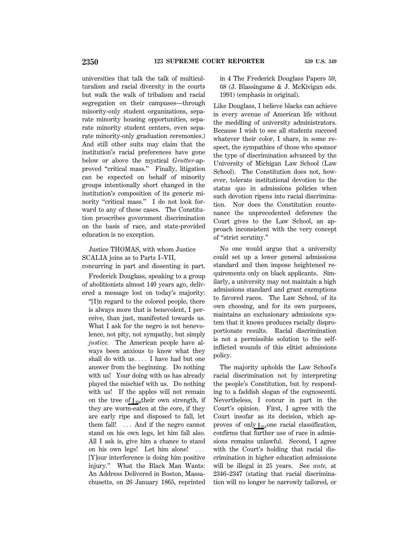universities that talk the talk of multiculturalism and racial diversity in the courts but walk the walk of tribalism and racial segregation on their campuses—through minority-only student organizations, separate minority housing opportunities, separate minority student centers, even separate minority-only graduation ceremonies.) And still other suits may claim that the institution's racial preferences have gone below or above the mystical *Grutter*-approved ''critical mass.'' Finally, litigation can be expected on behalf of minority groups intentionally short changed in the institution's composition of its generic minority "critical mass." I do not look forward to any of these cases. The Constitution proscribes government discrimination on the basis of race, and state-provided education is no exception.

Justice THOMAS, with whom Justice SCALIA joins as to Parts I–VII, concurring in part and dissenting in part.

Frederick Douglass, speaking to a group of abolitionists almost 140 years ago, delivered a message lost on today's majority:

''[I]n regard to the colored people, there is always more that is benevolent, I perceive, than just, manifested towards us. What I ask for the negro is not benevolence, not pity, not sympathy, but simply *justice.* The American people have always been anxious to know what they shall do with  $us \ldots I$  have had but one answer from the beginning. Do nothing with us! Your doing with us has already played the mischief with us. Do nothing with us! If the apples will not remain on the tree of  $\mathcal{L}_{350}$ their own strength, if they are worm-eaten at the core, if they are early ripe and disposed to fall, let them fall!  $\ldots$  And if the negro cannot stand on his own legs, let him fall also. All I ask is, give him a chance to stand on his own legs! Let him alone!  $\ldots$ [Y]our interference is doing him positive injury.'' What the Black Man Wants: An Address Delivered in Boston, Massachusetts, on 26 January 1865, reprinted in 4 The Frederick Douglass Papers 59, 68 (J. Blassingame & J. McKivigan eds. 1991) (emphasis in original).

Like Douglass, I believe blacks can achieve in every avenue of American life without the meddling of university administrators. Because I wish to see all students succeed whatever their color, I share, in some respect, the sympathies of those who sponsor the type of discrimination advanced by the University of Michigan Law School (Law School). The Constitution does not, however, tolerate institutional devotion to the status quo in admissions policies when such devotion ripens into racial discrimination. Nor does the Constitution countenance the unprecedented deference the Court gives to the Law School, an approach inconsistent with the very concept of ''strict scrutiny.''

No one would argue that a university could set up a lower general admissions standard and then impose heightened requirements only on black applicants. Similarly, a university may not maintain a high admissions standard and grant exemptions to favored races. The Law School, of its own choosing, and for its own purposes, maintains an exclusionary admissions system that it knows produces racially disproportionate results. Racial discrimination is not a permissible solution to the selfinflicted wounds of this elitist admissions policy.

The majority upholds the Law School's racial discrimination not by interpreting the people's Constitution, but by responding to a faddish slogan of the cognoscenti. Nevertheless, I concur in part in the Court's opinion. First, I agree with the Court insofar as its decision, which approves of only  $\int_{351}$ one racial classification, confirms that further use of race in admissions remains unlawful. Second, I agree with the Court's holding that racial discrimination in higher education admissions will be illegal in 25 years. See *ante,* at 2346–2347 (stating that racial discrimination will no longer be narrowly tailored, or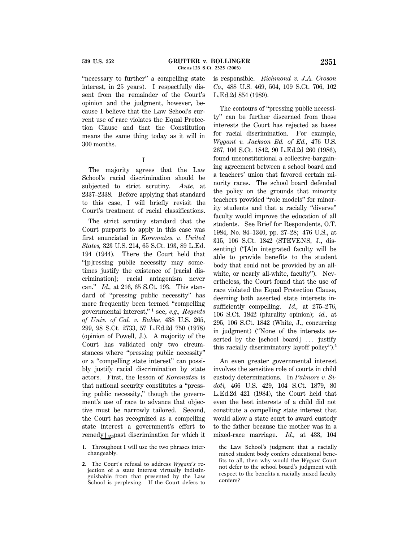"necessary to further" a compelling state interest, in 25 years). I respectfully dissent from the remainder of the Court's opinion and the judgment, however, because I believe that the Law School's current use of race violates the Equal Protection Clause and that the Constitution means the same thing today as it will in 300 months.

I

The majority agrees that the Law School's racial discrimination should be subjected to strict scrutiny. *Ante,* at 2337–2338. Before applying that standard to this case, I will briefly revisit the Court's treatment of racial classifications.

The strict scrutiny standard that the Court purports to apply in this case was first enunciated in *Korematsu v. United States,* 323 U.S. 214, 65 S.Ct. 193, 89 L.Ed. 194 (1944). There the Court held that ''[p]ressing public necessity may sometimes justify the existence of [racial discrimination]; racial antagonism never can.'' *Id.,* at 216, 65 S.Ct. 193. This standard of ''pressing public necessity'' has more frequently been termed ''compelling governmental interest,'' **<sup>1</sup>** see, *e.g., Regents of Univ. of Cal. v. Bakke,* 438 U.S. 265, 299, 98 S.Ct. 2733, 57 L.Ed.2d 750 (1978) (opinion of Powell, J.). A majority of the Court has validated only two circumstances where ''pressing public necessity'' or a ''compelling state interest'' can possibly justify racial discrimination by state actors. First, the lesson of *Korematsu* is that national security constitutes a ''pressing public necessity,'' though the government's use of race to advance that objective must be narrowly tailored. Second, the Court has recognized as a compelling state interest a government's effort to remedy  $\frac{1}{352}$  past discrimination for which it is responsible. *Richmond v. J.A. Croson Co.,* 488 U.S. 469, 504, 109 S.Ct. 706, 102 L.Ed.2d 854 (1989).

The contours of ''pressing public necessity'' can be further discerned from those interests the Court has rejected as bases for racial discrimination. For example, *Wygant v. Jackson Bd. of Ed.,* 476 U.S. 267, 106 S.Ct. 1842, 90 L.Ed.2d 260 (1986), found unconstitutional a collective-bargaining agreement between a school board and a teachers' union that favored certain minority races. The school board defended the policy on the grounds that minority teachers provided ''role models'' for minority students and that a racially ''diverse'' faculty would improve the education of all students. See Brief for Respondents, O.T. 1984, No. 84–1340, pp. 27–28; 476 U.S., at 315, 106 S.Ct. 1842 (STEVENS, J., dissenting) (''[A]n integrated faculty will be able to provide benefits to the student body that could not be provided by an allwhite, or nearly all-white, faculty''). Nevertheless, the Court found that the use of race violated the Equal Protection Clause, deeming both asserted state interests insufficiently compelling. *Id.,* at 275–276, 106 S.Ct. 1842 (plurality opinion); *id.,* at 295, 106 S.Ct. 1842 (White, J., concurring in judgment) (''None of the interests asserted by the [school board]  $\ldots$  justify this racially discriminatory layoff policy'').**<sup>2</sup>**

An even greater governmental interest involves the sensitive role of courts in child custody determinations. In *Palmore v. Sidoti,* 466 U.S. 429, 104 S.Ct. 1879, 80 L.Ed.2d 421 (1984), the Court held that even the best interests of a child did not constitute a compelling state interest that would allow a state court to award custody to the father because the mother was in a mixed-race marriage. *Id.,* at 433, 104

**<sup>1.</sup>** Throughout I will use the two phrases interchangeably.

**<sup>2.</sup>** The Court's refusal to address *Wygant's* rejection of a state interest virtually indistinguishable from that presented by the Law School is perplexing. If the Court defers to

the Law School's judgment that a racially mixed student body confers educational benefits to all, then why would the *Wygant* Court not defer to the school board's judgment with respect to the benefits a racially mixed faculty confers?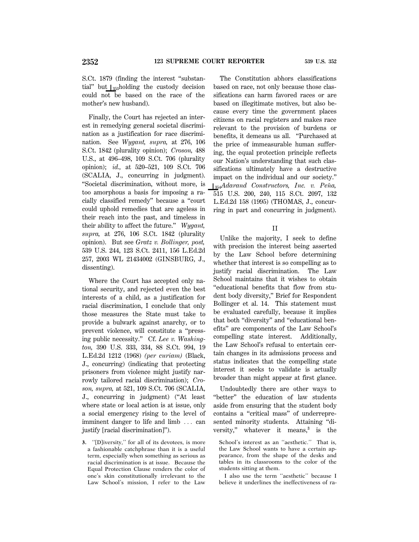S.Ct. 1879 (finding the interest ''substantial" but  $\left\lfloor \frac{1}{353} \right\rfloor$  and the custody decision could not be based on the race of the mother's new husband).

Finally, the Court has rejected an interest in remedying general societal discrimination as a justification for race discrimination. See *Wygant, supra,* at 276, 106 S.Ct. 1842 (plurality opinion); *Croson,* 488 U.S., at 496–498, 109 S.Ct. 706 (plurality opinion); *id.,* at 520–521, 109 S.Ct. 706 (SCALIA, J., concurring in judgment). ''Societal discrimination, without more, is too amorphous a basis for imposing a racially classified remedy'' because a ''court could uphold remedies that are ageless in their reach into the past, and timeless in their ability to affect the future.'' *Wygant, supra,* at 276, 106 S.Ct. 1842 (plurality opinion). But see *Gratz v. Bollinger, post,* 539 U.S. 244, 123 S.Ct. 2411, 156 L.Ed.2d 257, 2003 WL 21434002 (GINSBURG, J., dissenting).

Where the Court has accepted only national security, and rejected even the best interests of a child, as a justification for racial discrimination, I conclude that only those measures the State must take to provide a bulwark against anarchy, or to prevent violence, will constitute a ''pressing public necessity.'' Cf. *Lee v. Washington,* 390 U.S. 333, 334, 88 S.Ct. 994, 19 L.Ed.2d 1212 (1968) *(per curiam)* (Black, J., concurring) (indicating that protecting prisoners from violence might justify narrowly tailored racial discrimination); *Croson, supra,* at 521, 109 S.Ct. 706 (SCALIA, J., concurring in judgment) (''At least where state or local action is at issue, only a social emergency rising to the level of imminent danger to life and limb  $\ldots$  can justify [racial discrimination]'').

**3.** ''[D]iversity,'' for all of its devotees, is more a fashionable catchphrase than it is a useful term, especially when something as serious as racial discrimination is at issue. Because the Equal Protection Clause renders the color of one's skin constitutionally irrelevant to the Law School's mission, I refer to the Law

The Constitution abhors classifications based on race, not only because those classifications can harm favored races or are based on illegitimate motives, but also because every time the government places citizens on racial registers and makes race relevant to the provision of burdens or benefits, it demeans us all. ''Purchased at the price of immeasurable human suffering, the equal protection principle reflects our Nation's understanding that such classifications ultimately have a destructive impact on the individual and our society.''  $\mathcal{S}_{354}$ *Adarand Constructors, Inc. v. Peña,* 515 U.S. 200, 240, 115 S.Ct. 2097, 132 L.Ed.2d 158 (1995) (THOMAS, J., concurring in part and concurring in judgment).

II

Unlike the majority, I seek to define with precision the interest being asserted by the Law School before determining whether that interest is so compelling as to justify racial discrimination. The Law School maintains that it wishes to obtain ''educational benefits that flow from student body diversity,'' Brief for Respondent Bollinger et al. 14. This statement must be evaluated carefully, because it implies that both ''diversity'' and ''educational benefits'' are components of the Law School's compelling state interest. Additionally, the Law School's refusal to entertain certain changes in its admissions process and status indicates that the compelling state interest it seeks to validate is actually broader than might appear at first glance.

Undoubtedly there are other ways to "better" the education of law students aside from ensuring that the student body contains a ''critical mass'' of underrepresented minority students. Attaining ''diversity,'' whatever it means,**<sup>3</sup>** is the

I also use the term ''aesthetic'' because I believe it underlines the ineffectiveness of ra-

School's interest as an ''aesthetic.'' That is, the Law School wants to have a certain appearance, from the shape of the desks and tables in its classrooms to the color of the students sitting at them.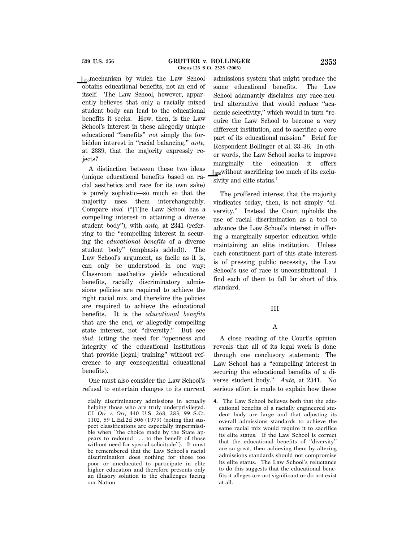$\left| \cdot \right|$ <sub>355</sub> mechanism by which the Law School obtains educational benefits, not an end of itself. The Law School, however, apparently believes that only a racially mixed student body can lead to the educational benefits it seeks. How, then, is the Law School's interest in these allegedly unique educational ''benefits'' *not* simply the forbidden interest in ''racial balancing,'' *ante,* at 2339, that the majority expressly rejects?

A distinction between these two ideas (unique educational benefits based on racial aesthetics and race for its own sake) is purely sophistic—so much so that the majority uses them interchangeably. Compare *ibid.* ("The Law School has a compelling interest in attaining a diverse student body''), with *ante,* at 2341 (referring to the ''compelling interest in securing the *educational benefits* of a diverse student body'' (emphasis added)). The Law School's argument, as facile as it is, can only be understood in one way: Classroom aesthetics yields educational benefits, racially discriminatory admissions policies are required to achieve the right racial mix, and therefore the policies are required to achieve the educational benefits. It is the *educational benefits* that are the end, or allegedly compelling state interest, not ''diversity.'' But see *ibid.* (citing the need for ''openness and integrity of the educational institutions that provide [legal] training'' without reference to any consequential educational benefits).

One must also consider the Law School's refusal to entertain changes to its current

cially discriminatory admissions in actually helping those who are truly underprivileged. Cf. *Orr v. Orr,* 440 U.S. 268, 283, 99 S.Ct. 1102, 59 L.Ed.2d 306 (1979) (noting that suspect classifications are especially impermissible when ''the choice made by the State appears to redound ... to the benefit of those without need for special solicitude''). It must be remembered that the Law School's racial discrimination does nothing for those too poor or uneducated to participate in elite higher education and therefore presents only an illusory solution to the challenges facing our Nation.

admissions system that might produce the same educational benefits. The Law School adamantly disclaims any race-neutral alternative that would reduce ''academic selectivity,'' which would in turn ''require the Law School to become a very different institution, and to sacrifice a core part of its educational mission.'' Brief for Respondent Bollinger et al. 33–36. In other words, the Law School seeks to improve marginally the education it offers  $\frac{1}{356}$ without sacrificing too much of its exclusivity and elite status.**<sup>4</sup>**

The proffered interest that the majority vindicates today, then, is not simply ''diversity.'' Instead the Court upholds the use of racial discrimination as a tool to advance the Law School's interest in offering a marginally superior education while maintaining an elite institution. Unless each constituent part of this state interest is of pressing public necessity, the Law School's use of race is unconstitutional. I find each of them to fall far short of this standard.

### III

# A

A close reading of the Court's opinion reveals that all of its legal work is done through one conclusory statement: The Law School has a ''compelling interest in securing the educational benefits of a diverse student body.'' *Ante,* at 2341. No serious effort is made to explain how these

**4.** The Law School believes both that the educational benefits of a racially engineered student body are large and that adjusting its overall admissions standards to achieve the same racial mix would require it to sacrifice its elite status. If the Law School is correct that the educational benefits of ''diversity'' are so great, then achieving them by altering admissions standards should not compromise its elite status. The Law School's reluctance to do this suggests that the educational benefits it alleges are not significant or do not exist at all.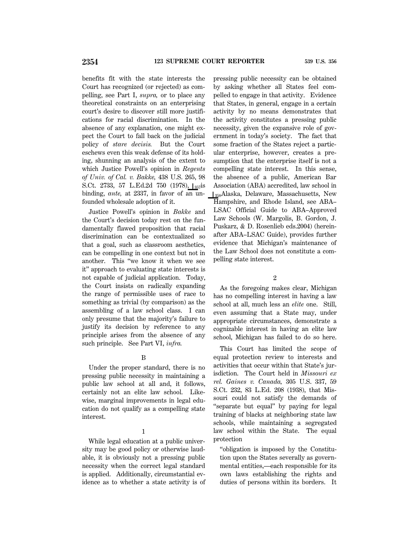benefits fit with the state interests the Court has recognized (or rejected) as compelling, see Part I, *supra,* or to place any theoretical constraints on an enterprising court's desire to discover still more justifications for racial discrimination. In the absence of any explanation, one might expect the Court to fall back on the judicial policy of *stare decisis.* But the Court eschews even this weak defense of its holding, shunning an analysis of the extent to which Justice Powell's opinion in *Regents of Univ. of Cal. v. Bakke,* 438 U.S. 265, 98 S.Ct. 2733, 57 L.Ed.2d 750 (1978),  $\frac{1}{357}$ is binding, *ante,* at 2337, in favor of an unfounded wholesale adoption of it.

Justice Powell's opinion in *Bakke* and the Court's decision today rest on the fundamentally flawed proposition that racial discrimination can be contextualized so that a goal, such as classroom aesthetics, can be compelling in one context but not in another. This ''we know it when we see it'' approach to evaluating state interests is not capable of judicial application. Today, the Court insists on radically expanding the range of permissible uses of race to something as trivial (by comparison) as the assembling of a law school class. I can only presume that the majority's failure to justify its decision by reference to any principle arises from the absence of any such principle. See Part VI, *infra.*

#### B

Under the proper standard, there is no pressing public necessity in maintaining a public law school at all and, it follows, certainly not an elite law school. Likewise, marginal improvements in legal education do not qualify as a compelling state interest.

### 1

While legal education at a public university may be good policy or otherwise laudable, it is obviously not a pressing public necessity when the correct legal standard is applied. Additionally, circumstantial evidence as to whether a state activity is of

pressing public necessity can be obtained by asking whether all States feel compelled to engage in that activity. Evidence that States, in general, engage in a certain activity by no means demonstrates that the activity constitutes a pressing public necessity, given the expansive role of government in today's society. The fact that some fraction of the States reject a particular enterprise, however, creates a presumption that the enterprise itself is not a compelling state interest. In this sense, the absence of a public, American Bar Association (ABA) accredited, law school in  $IsasA$ laska, Delaware, Massachusetts, New Hampshire, and Rhode Island, see ABA– LSAC Official Guide to ABA–Approved Law Schools (W. Margolis, B. Gordon, J. Puskarz, & D. Rosenlieb eds.2004) (hereinafter ABA–LSAC Guide), provides further evidence that Michigan's maintenance of the Law School does not constitute a compelling state interest.

## 2

As the foregoing makes clear, Michigan has no compelling interest in having a law school at all, much less an *elite* one. Still, even assuming that a State may, under appropriate circumstances, demonstrate a cognizable interest in having an elite law school, Michigan has failed to do so here.

This Court has limited the scope of equal protection review to interests and activities that occur within that State's jurisdiction. The Court held in *Missouri ex rel. Gaines v. Canada,* 305 U.S. 337, 59 S.Ct. 232, 83 L.Ed. 208 (1938), that Missouri could not satisfy the demands of ''separate but equal'' by paying for legal training of blacks at neighboring state law schools, while maintaining a segregated law school within the State. The equal protection

''obligation is imposed by the Constitution upon the States severally as governmental entities,—each responsible for its own laws establishing the rights and duties of persons within its borders. It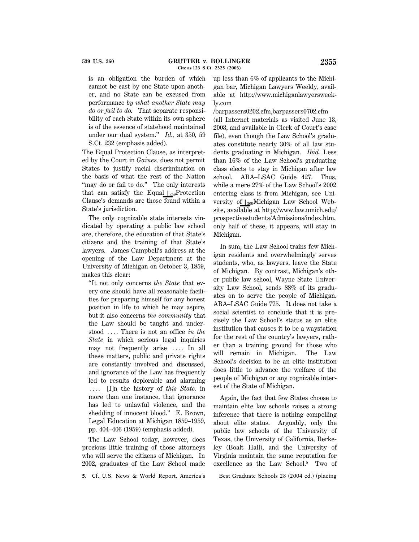is an obligation the burden of which cannot be cast by one State upon another, and no State can be excused from performance *by what another State may do or fail to do.* That separate responsibility of each State within its own sphere is of the essence of statehood maintained under our dual system.'' *Id.,* at 350, 59 S.Ct. 232 (emphasis added).

The Equal Protection Clause, as interpreted by the Court in *Gaines,* does not permit States to justify racial discrimination on the basis of what the rest of the Nation "may do or fail to do." The only interests that can satisfy the Equal  $\left| \right|_{359}$ Protection Clause's demands are those found within a State's jurisdiction.

The only cognizable state interests vindicated by operating a public law school are, therefore, the education of that State's citizens and the training of that State's lawyers. James Campbell's address at the opening of the Law Department at the University of Michigan on October 3, 1859, makes this clear:

''It not only concerns *the State* that every one should have all reasonable facilities for preparing himself for any honest position in life to which he may aspire, but it also concerns *the community* that the Law should be taught and understood .... There is not an office *in the State* in which serious legal inquiries may not frequently arise .... In all these matters, public and private rights are constantly involved and discussed, and ignorance of the Law has frequently led to results deplorable and alarming .... [I]n the history of *this State*, in more than one instance, that ignorance has led to unlawful violence, and the shedding of innocent blood.'' E. Brown, Legal Education at Michigan 1859–1959, pp. 404–406 (1959) (emphasis added).

The Law School today, however, does precious little training of those attorneys who will serve the citizens of Michigan. In 2002, graduates of the Law School made

**5.** Cf. U.S. News & World Report, America's Best Graduate Schools 28 (2004 ed.) (placing

up less than 6% of applicants to the Michigan bar, Michigan Lawyers Weekly, available at http://www.michiganlawyersweekly.com

/barpassers0202.cfm,barpassers0702.cfm

(all Internet materials as visited June 13, 2003, and available in Clerk of Court's case file), even though the Law School's graduates constitute nearly 30% of all law students graduating in Michigan. *Ibid.* Less than 16% of the Law School's graduating class elects to stay in Michigan after law school. ABA–LSAC Guide 427. Thus, while a mere 27% of the Law School's 2002 entering class is from Michigan, see University of  $\int_{360}$ Michigan Law School Website, available at http://www.law.umich.edu/ prospectivestudents/Admissions/index.htm, only half of these, it appears, will stay in Michigan.

In sum, the Law School trains few Michigan residents and overwhelmingly serves students, who, as lawyers, leave the State of Michigan. By contrast, Michigan's other public law school, Wayne State University Law School, sends 88% of its graduates on to serve the people of Michigan. ABA–LSAC Guide 775. It does not take a social scientist to conclude that it is precisely the Law School's status as an elite institution that causes it to be a waystation for the rest of the country's lawyers, rather than a training ground for those who will remain in Michigan. The Law School's decision to be an elite institution does little to advance the welfare of the people of Michigan or any cognizable interest of the State of Michigan.

Again, the fact that few States choose to maintain elite law schools raises a strong inference that there is nothing compelling about elite status. Arguably, only the public law schools of the University of Texas, the University of California, Berkeley (Boalt Hall), and the University of Virginia maintain the same reputation for excellence as the Law School.**<sup>5</sup>** Two of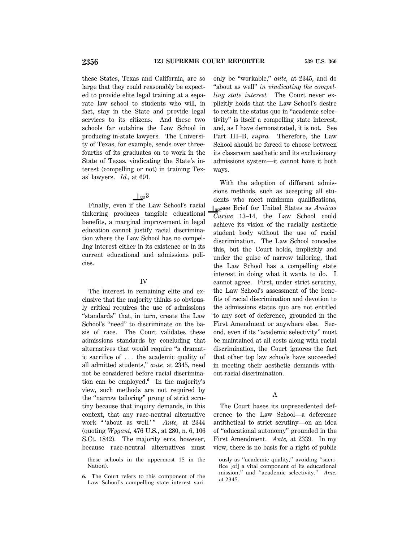these States, Texas and California, are so large that they could reasonably be expected to provide elite legal training at a separate law school to students who will, in fact, stay in the State and provide legal services to its citizens. And these two schools far outshine the Law School in producing in-state lawyers. The University of Texas, for example, sends over threefourths of its graduates on to work in the State of Texas, vindicating the State's interest (compelling or not) in training Texas' lawyers. *Id.,* at 691.

# $1_{361}3$

Finally, even if the Law School's racial tinkering produces tangible educational benefits, a marginal improvement in legal education cannot justify racial discrimination where the Law School has no compelling interest either in its existence or in its current educational and admissions policies.

## IV

The interest in remaining elite and exclusive that the majority thinks so obviously critical requires the use of admissions ''standards'' that, in turn, create the Law School's ''need'' to discriminate on the basis of race. The Court validates these admissions standards by concluding that alternatives that would require ''a dramatic sacrifice of ... the academic quality of all admitted students,'' *ante,* at 2345, need not be considered before racial discrimination can be employed.**<sup>6</sup>** In the majority's view, such methods are not required by the ''narrow tailoring'' prong of strict scrutiny because that inquiry demands, in this context, that any race-neutral alternative work '' 'about as well.' '' *Ante,* at 2344 (quoting *Wygant,* 476 U.S., at 280, n. 6, 106 S.Ct. 1842). The majority errs, however, because race-neutral alternatives must

these schools in the uppermost 15 in the Nation).

only be ''workable,'' *ante,* at 2345, and do "about as well" *in vindicating the compelling state interest.* The Court never explicitly holds that the Law School's desire to retain the status quo in ''academic selectivity'' is itself a compelling state interest, and, as I have demonstrated, it is not. See Part III–B, *supra.* Therefore, the Law School should be forced to choose between its classroom aesthetic and its exclusionary admissions system—it cannot have it both ways.

With the adoption of different admissions methods, such as accepting all students who meet minimum qualifications, S362see Brief for United States as *Amicus Curiae* 13–14, the Law School could achieve its vision of the racially aesthetic student body without the use of racial discrimination. The Law School concedes this, but the Court holds, implicitly and under the guise of narrow tailoring, that the Law School has a compelling state interest in doing what it wants to do. I cannot agree. First, under strict scrutiny, the Law School's assessment of the benefits of racial discrimination and devotion to the admissions status quo are not entitled to any sort of deference, grounded in the First Amendment or anywhere else. Second, even if its ''academic selectivity'' must be maintained at all costs along with racial discrimination, the Court ignores the fact that other top law schools have succeeded in meeting their aesthetic demands without racial discrimination.

# A

The Court bases its unprecedented deference to the Law School—a deference antithetical to strict scrutiny—on an idea of ''educational autonomy'' grounded in the First Amendment. *Ante,* at 2339. In my view, there is no basis for a right of public

**<sup>6.</sup>** The Court refers to this component of the Law School's compelling state interest vari-

ously as ''academic quality,'' avoiding ''sacrifice [of] a vital component of its educational mission,'' and ''academic selectivity.'' *Ante,* at 2345.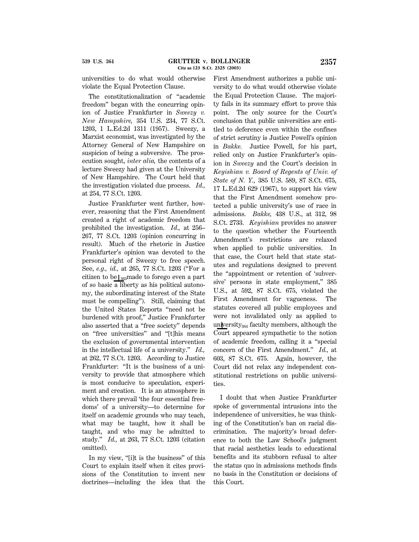The constitutionalization of ''academic freedom'' began with the concurring opinion of Justice Frankfurter in *Sweezy v. New Hampshire,* 354 U.S. 234, 77 S.Ct. 1203, 1 L.Ed.2d 1311 (1957). Sweezy, a Marxist economist, was investigated by the Attorney General of New Hampshire on suspicion of being a subversive. The prosecution sought, *inter alia,* the contents of a lecture Sweezy had given at the University of New Hampshire. The Court held that the investigation violated due process. *Id.,* at 254, 77 S.Ct. 1203.

Justice Frankfurter went further, however, reasoning that the First Amendment created a right of academic freedom that prohibited the investigation. *Id.,* at 256– 267, 77 S.Ct. 1203 (opinion concurring in result). Much of the rhetoric in Justice Frankfurter's opinion was devoted to the personal right of Sweezy to free speech. See, *e.g., id.,* at 265, 77 S.Ct. 1203 (''For a citizen to be  $\vert_{363}$  made to forego even a part of so basic a liberty as his political autonomy, the subordinating interest of the State must be compelling''). Still, claiming that the United States Reports ''need not be burdened with proof,'' Justice Frankfurter also asserted that a ''free society'' depends on ''free universities'' and ''[t]his means the exclusion of governmental intervention in the intellectual life of a university.'' *Id.,* at 262, 77 S.Ct. 1203. According to Justice Frankfurter: "It is the business of a university to provide that atmosphere which is most conducive to speculation, experiment and creation. It is an atmosphere in which there prevail 'the four essential freedoms' of a university—to determine for itself on academic grounds who may teach, what may be taught, how it shall be taught, and who may be admitted to study.'' *Id.,* at 263, 77 S.Ct. 1203 (citation omitted).

In my view, "[i]t is the business" of this Court to explain itself when it cites provisions of the Constitution to invent new doctrines—including the idea that the First Amendment authorizes a public university to do what would otherwise violate the Equal Protection Clause. The majority fails in its summary effort to prove this point. The only source for the Court's conclusion that public universities are entitled to deference even within the confines of strict scrutiny is Justice Powell's opinion in *Bakke.* Justice Powell, for his part, relied only on Justice Frankfurter's opinion in *Sweezy* and the Court's decision in *Keyishian v. Board of Regents of Univ. of State of N. Y.,* 385 U.S. 589, 87 S.Ct. 675, 17 L.Ed.2d 629 (1967), to support his view that the First Amendment somehow protected a public university's use of race in admissions. *Bakke,* 438 U.S., at 312, 98 S.Ct. 2733. *Keyishian* provides no answer to the question whether the Fourteenth Amendment's restrictions are relaxed when applied to public universities. In that case, the Court held that state statutes and regulations designed to prevent the ''appointment or retention of 'subversive' persons in state employment," 385 U.S., at 592, 87 S.Ct. 675, violated the First Amendment for vagueness. The statutes covered all public employees and were not invalidated only as applied to university<sub>364</sub> faculty members, although the Court appeared sympathetic to the notion of academic freedom, calling it a ''special concern of the First Amendment.'' *Id.,* at 603, 87 S.Ct. 675. Again, however, the Court did not relax any independent constitutional restrictions on public universities.

I doubt that when Justice Frankfurter spoke of governmental intrusions into the independence of universities, he was thinking of the Constitution's ban on racial discrimination. The majority's broad deference to both the Law School's judgment that racial aesthetics leads to educational benefits and its stubborn refusal to alter the status quo in admissions methods finds no basis in the Constitution or decisions of this Court.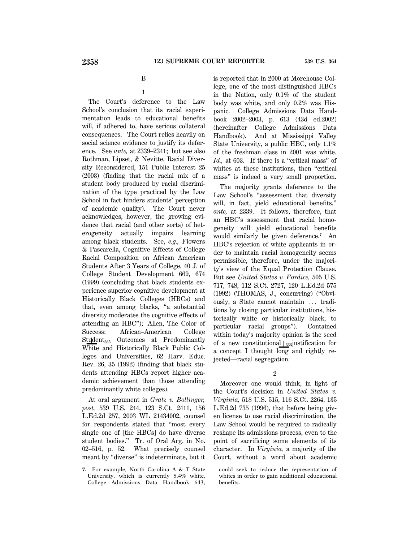# B

# 1

The Court's deference to the Law School's conclusion that its racial experimentation leads to educational benefits will, if adhered to, have serious collateral consequences. The Court relies heavily on social science evidence to justify its deference. See *ante,* at 2339–2341; but see also Rothman, Lipset, & Nevitte, Racial Diversity Reconsidered, 151 Public Interest 25 (2003) (finding that the racial mix of a student body produced by racial discrimination of the type practiced by the Law School in fact hinders students' perception of academic quality). The Court never acknowledges, however, the growing evidence that racial (and other sorts) of heterogeneity actually impairs learning among black students. See, *e.g.,* Flowers & Pascarella, Cognitive Effects of College Racial Composition on African American Students After 3 Years of College, 40 J. of College Student Development 669, 674 (1999) (concluding that black students experience superior cognitive development at Historically Black Colleges (HBCs) and that, even among blacks, ''a substantial diversity moderates the cognitive effects of attending an HBC''); Allen, The Color of Success: African–American College  $Stu$ dent<sub>365</sub> Outcomes at Predominantly White and Historically Black Public Colleges and Universities, 62 Harv. Educ. Rev. 26, 35 (1992) (finding that black students attending HBCs report higher academic achievement than those attending predominantly white colleges).

At oral argument in *Gratz v. Bollinger, post,* 539 U.S. 244, 123 S.Ct. 2411, 156 L.Ed.2d 257, 2003 WL 21434002, counsel for respondents stated that ''most every single one of [the HBCs] do have diverse student bodies.'' Tr. of Oral Arg. in No. 02–516, p. 52. What precisely counsel meant by ''diverse'' is indeterminate, but it

is reported that in 2000 at Morehouse College, one of the most distinguished HBCs in the Nation, only 0.1% of the student body was white, and only 0.2% was Hispanic. College Admissions Data Handbook 2002–2003, p. 613 (43d ed.2002) (hereinafter College Admissions Data Handbook). And at Mississippi Valley State University, a public HBC, only 1.1% of the freshman class in 2001 was white. *Id.*, at 603. If there is a "critical mass" of whites at these institutions, then ''critical mass'' is indeed a very small proportion.

The majority grants deference to the Law School's ''assessment that diversity will, in fact, yield educational benefits,'' *ante,* at 2339. It follows, therefore, that an HBC's assessment that racial homogeneity will yield educational benefits would similarly be given deference.**<sup>7</sup>** An HBC's rejection of white applicants in order to maintain racial homogeneity seems permissible, therefore, under the majority's view of the Equal Protection Clause. But see *United States v. Fordice,* 505 U.S. 717, 748, 112 S.Ct. 2727, 120 L.Ed.2d 575 (1992) (THOMAS, J., concurring) (''Obviously, a State cannot maintain ... traditions by closing particular institutions, historically white or historically black, to particular racial groups''). Contained within today's majority opinion is the seed of a new constitutional  $\log$  justification for a concept I thought long and rightly rejected—racial segregation.

### 2

Moreover one would think, in light of the Court's decision in *United States v. Virginia,* 518 U.S. 515, 116 S.Ct. 2264, 135 L.Ed.2d 735 (1996), that before being given license to use racial discrimination, the Law School would be required to radically reshape its admissions process, even to the point of sacrificing some elements of its character. In *Virginia,* a majority of the Court, without a word about academic

could seek to reduce the representation of whites in order to gain additional educational benefits.

**<sup>7.</sup>** For example, North Carolina A & T State University, which is currently 5.4% white, College Admissions Data Handbook 643,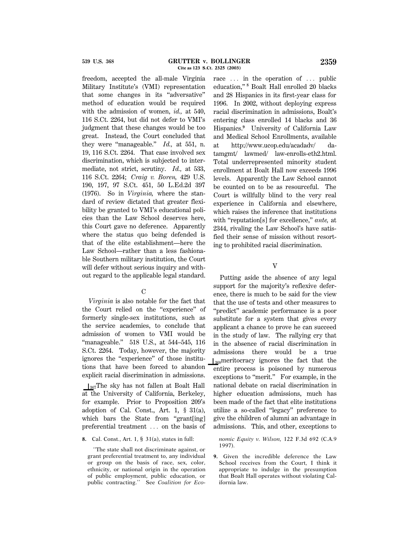freedom, accepted the all-male Virginia Military Institute's (VMI) representation that some changes in its ''adversative'' method of education would be required with the admission of women, *id.,* at 540, 116 S.Ct. 2264, but did not defer to VMI's judgment that these changes would be too great. Instead, the Court concluded that they were "manageable." *Id.*, at 551, n. 19, 116 S.Ct. 2264. That case involved sex discrimination, which is subjected to intermediate, not strict, scrutiny. *Id.,* at 533, 116 S.Ct. 2264; *Craig v. Boren,* 429 U.S. 190, 197, 97 S.Ct. 451, 50 L.Ed.2d 397 (1976). So in *Virginia,* where the standard of review dictated that greater flexibility be granted to VMI's educational policies than the Law School deserves here, this Court gave no deference. Apparently where the status quo being defended is that of the elite establishment—here the Law School—rather than a less fashionable Southern military institution, the Court will defer without serious inquiry and without regard to the applicable legal standard.

### $\mathcal C$

*Virginia* is also notable for the fact that the Court relied on the ''experience'' of formerly single-sex institutions, such as the service academies, to conclude that admission of women to VMI would be "manageable." 518 U.S., at 544-545, 116 S.Ct. 2264. Today, however, the majority ignores the ''experience'' of those institutions that have been forced to abandon explicit racial discrimination in admissions.

 $\underline{\mathsf{I}}_{367}$  The sky has not fallen at Boalt Hall at the University of California, Berkeley, for example. Prior to Proposition 209's adoption of Cal. Const., Art. 1, § 31(a), which bars the State from "grant[ing] preferential treatment ... on the basis of

**8.** Cal. Const., Art. 1, § 31(a), states in full:

''The state shall not discriminate against, or grant preferential treatment to, any individual or group on the basis of race, sex, color, ethnicity, or national origin in the operation of public employment, public education, or public contracting.'' See *Coalition for Eco*- race  $\ldots$  in the operation of  $\ldots$  public education," <sup>8</sup> Boalt Hall enrolled 20 blacks and 28 Hispanics in its first-year class for 1996. In 2002, without deploying express racial discrimination in admissions, Boalt's entering class enrolled 14 blacks and 36 Hispanics.**<sup>9</sup>** University of California Law and Medical School Enrollments, available at http://www.ucop.edu/acadadv/ datamgmt/ lawmed/ law-enrolls-eth2.html. Total underrepresented minority student enrollment at Boalt Hall now exceeds 1996 levels. Apparently the Law School cannot be counted on to be as resourceful. The Court is willfully blind to the very real experience in California and elsewhere, which raises the inference that institutions with ''reputation[s] for excellence,'' *ante,* at 2344, rivaling the Law School's have satisfied their sense of mission without resorting to prohibited racial discrimination.

#### V

Putting aside the absence of any legal support for the majority's reflexive deference, there is much to be said for the view that the use of tests and other measures to ''predict'' academic performance is a poor substitute for a system that gives every applicant a chance to prove he can succeed in the study of law. The rallying cry that in the absence of racial discrimination in admissions there would be a true  $\frac{1}{368}$ meritocracy ignores the fact that the entire process is poisoned by numerous exceptions to "merit." For example, in the national debate on racial discrimination in higher education admissions, much has been made of the fact that elite institutions utilize a so-called ''legacy'' preference to give the children of alumni an advantage in admissions. This, and other, exceptions to

*nomic Equity v. Wilson,* 122 F.3d 692 (C.A.9 1997).

**9.** Given the incredible deference the Law School receives from the Court, I think it appropriate to indulge in the presumption that Boalt Hall operates without violating California law.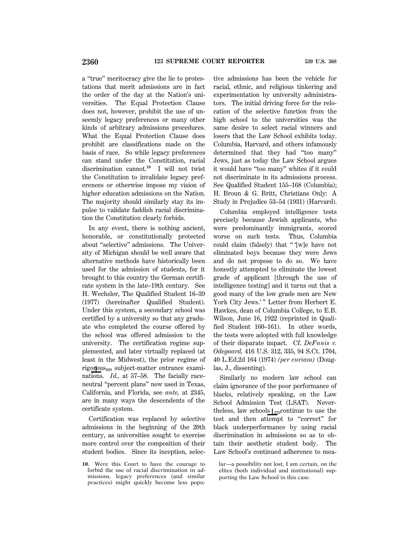a ''true'' meritocracy give the lie to protestations that merit admissions are in fact the order of the day at the Nation's universities. The Equal Protection Clause does not, however, prohibit the use of unseemly legacy preferences or many other kinds of arbitrary admissions procedures. What the Equal Protection Clause does prohibit are classifications made on the basis of race. So while legacy preferences can stand under the Constitution, racial discrimination cannot.**<sup>10</sup>** I will not twist the Constitution to invalidate legacy preferences or otherwise impose my vision of higher education admissions on the Nation. The majority should similarly stay its impulse to validate faddish racial discrimination the Constitution clearly forbids.

In any event, there is nothing ancient, honorable, or constitutionally protected about ''selective'' admissions. The University of Michigan should be well aware that alternative methods have historically been used for the admission of students, for it brought to this country the German certificate system in the late–19th century. See H. Wechsler, The Qualified Student 16–39 (1977) (hereinafter Qualified Student). Under this system, a secondary school was certified by a university so that any graduate who completed the course offered by the school was offered admission to the university. The certification regime supplemented, and later virtually replaced (at least in the Midwest), the prior regime of  $rigor<sub>9869</sub>$  subject-matter entrance examinations. *Id.,* at 57–58. The facially raceneutral "percent plans" now used in Texas, California, and Florida, see *ante,* at 2345, are in many ways the descendents of the certificate system.

Certification was replaced by selective admissions in the beginning of the 20th century, as universities sought to exercise more control over the composition of their student bodies. Since its inception, selective admissions has been the vehicle for racial, ethnic, and religious tinkering and experimentation by university administrators. The initial driving force for the relocation of the selective function from the high school to the universities was the same desire to select racial winners and losers that the Law School exhibits today. Columbia, Harvard, and others infamously determined that they had ''too many'' Jews, just as today the Law School argues it would have ''too many'' whites if it could not discriminate in its admissions process. See Qualified Student 155–168 (Columbia); H. Broun & G. Britt, Christians Only: A Study in Prejudice 53–54 (1931) (Harvard).

Columbia employed intelligence tests precisely because Jewish applicants, who were predominantly immigrants, scored worse on such tests. Thus, Columbia could claim (falsely) that '' '[w]e have not eliminated boys because they were Jews and do not propose to do so. We have honestly attempted to eliminate the lowest grade of applicant [through the use of intelligence testing] and it turns out that a good many of the low grade men are New York City Jews.'" Letter from Herbert E. Hawkes, dean of Columbia College, to E.B. Wilson, June 16, 1922 (reprinted in Qualified Student 160–161). In other words, the tests were adopted with full knowledge of their disparate impact. Cf. *DeFunis v. Odegaard,* 416 U.S. 312, 335, 94 S.Ct. 1704, 40 L.Ed.2d 164 (1974) *(per curiam)* (Douglas, J., dissenting).

Similarly no modern law school can claim ignorance of the poor performance of blacks, relatively speaking, on the Law School Admission Test (LSAT). Nevertheless, law schools  $\vert_{370}$ continue to use the test and then attempt to ''correct'' for black underperformance by using racial discrimination in admissions so as to obtain their aesthetic student body. The Law School's continued adherence to mea-

**<sup>10.</sup>** Were this Court to have the courage to forbid the use of racial discrimination in admissions, legacy preferences (and similar practices) might quickly become less popu-

lar—a possibility not lost, I am certain, on the elites (both individual and institutional) supporting the Law School in this case.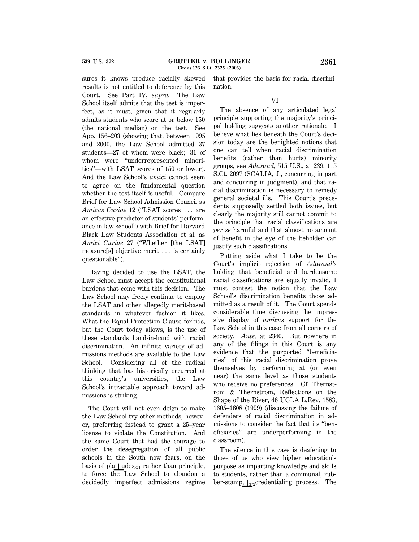sures it knows produce racially skewed results is not entitled to deference by this Court. See Part IV, *supra.* The Law School itself admits that the test is imperfect, as it must, given that it regularly admits students who score at or below 150 (the national median) on the test. See App. 156–203 (showing that, between 1995 and 2000, the Law School admitted 37 students—27 of whom were black; 31 of whom were "underrepresented minorities''—with LSAT scores of 150 or lower). And the Law School's *amici* cannot seem to agree on the fundamental question whether the test itself is useful. Compare Brief for Law School Admission Council as *Amicus Curiae* 12 ("LSAT scores ... are an effective predictor of students' performance in law school'') with Brief for Harvard Black Law Students Association et al. as *Amici Curiae* 27 (''Whether [the LSAT] measure[s] objective merit ... is certainly questionable'').

Having decided to use the LSAT, the Law School must accept the constitutional burdens that come with this decision. The Law School may freely continue to employ the LSAT and other allegedly merit-based standards in whatever fashion it likes. What the Equal Protection Clause forbids, but the Court today allows, is the use of these standards hand-in-hand with racial discrimination. An infinite variety of admissions methods are available to the Law School. Considering all of the radical thinking that has historically occurred at this country's universities, the Law School's intractable approach toward admissions is striking.

The Court will not even deign to make the Law School try other methods, however, preferring instead to grant a 25–year license to violate the Constitution. And the same Court that had the courage to order the desegregation of all public schools in the South now fears, on the basis of platitudes<sub>371</sub> rather than principle, to force the Law School to abandon a decidedly imperfect admissions regime that provides the basis for racial discrimination.

The absence of any articulated legal principle supporting the majority's principal holding suggests another rationale. I believe what lies beneath the Court's decision today are the benighted notions that one can tell when racial discrimination benefits (rather than hurts) minority groups, see *Adarand,* 515 U.S., at 239, 115 S.Ct. 2097 (SCALIA, J., concurring in part and concurring in judgment), and that racial discrimination is necessary to remedy general societal ills. This Court's precedents supposedly settled both issues, but clearly the majority still cannot commit to the principle that racial classifications are *per se* harmful and that almost no amount of benefit in the eye of the beholder can justify such classifications.

Putting aside what I take to be the Court's implicit rejection of *Adarand's* holding that beneficial and burdensome racial classifications are equally invalid, I must contest the notion that the Law School's discrimination benefits those admitted as a result of it. The Court spends considerable time discussing the impressive display of *amicus* support for the Law School in this case from all corners of society. *Ante,* at 2340. But nowhere in any of the filings in this Court is any evidence that the purported ''beneficiaries'' of this racial discrimination prove themselves by performing at (or even near) the same level as those students who receive no preferences. Cf. Thernstrom & Thernstrom, Reflections on the Shape of the River, 46 UCLA L.Rev. 1583, 1605–1608 (1999) (discussing the failure of defenders of racial discrimination in admissions to consider the fact that its ''beneficiaries'' are underperforming in the classroom).

The silence in this case is deafening to those of us who view higher education's purpose as imparting knowledge and skills to students, rather than a communal, rubber-stamp,  $\int_{372}$ credentialing process. The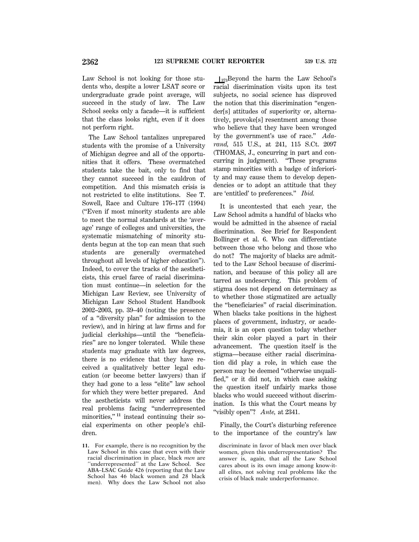Law School is not looking for those students who, despite a lower LSAT score or undergraduate grade point average, will succeed in the study of law. The Law School seeks only a facade—it is sufficient that the class looks right, even if it does not perform right.

The Law School tantalizes unprepared students with the promise of a University of Michigan degree and all of the opportunities that it offers. These overmatched students take the bait, only to find that they cannot succeed in the cauldron of competition. And this mismatch crisis is not restricted to elite institutions. See T. Sowell, Race and Culture 176–177 (1994) (''Even if most minority students are able to meet the normal standards at the 'average' range of colleges and universities, the systematic mismatching of minority students begun at the top can mean that such students are generally overmatched throughout all levels of higher education''). Indeed, to cover the tracks of the aestheticists, this cruel farce of racial discrimination must continue—in selection for the Michigan Law Review, see University of Michigan Law School Student Handbook 2002–2003, pp. 39–40 (noting the presence of a ''diversity plan'' for admission to the review), and in hiring at law firms and for judicial clerkships—until the ''beneficiaries'' are no longer tolerated. While these students may graduate with law degrees, there is no evidence that they have received a qualitatively better legal education (or become better lawyers) than if they had gone to a less ''elite'' law school for which they were better prepared. And the aestheticists will never address the real problems facing ''underrepresented minorities,"<sup>11</sup> instead continuing their social experiments on other people's children.

**11.** For example, there is no recognition by the Law School in this case that even with their racial discrimination in place, black *men* are ''underrepresented'' at the Law School. See ABA–LSAC Guide 426 (reporting that the Law School has 46 black women and 28 black men). Why does the Law School not also

 $\vert_{373}$ Beyond the harm the Law School's racial discrimination visits upon its test subjects, no social science has disproved the notion that this discrimination ''engender[s] attitudes of superiority or, alternatively, provoke[s] resentment among those who believe that they have been wronged by the government's use of race.'' *Adarand,* 515 U.S., at 241, 115 S.Ct. 2097 (THOMAS, J., concurring in part and concurring in judgment). ''These programs stamp minorities with a badge of inferiority and may cause them to develop dependencies or to adopt an attitude that they are 'entitled' to preferences.'' *Ibid.*

It is uncontested that each year, the Law School admits a handful of blacks who would be admitted in the absence of racial discrimination. See Brief for Respondent Bollinger et al. 6. Who can differentiate between those who belong and those who do not? The majority of blacks are admitted to the Law School because of discrimination, and because of this policy all are tarred as undeserving. This problem of stigma does not depend on determinacy as to whether those stigmatized are actually the ''beneficiaries'' of racial discrimination. When blacks take positions in the highest places of government, industry, or academia, it is an open question today whether their skin color played a part in their advancement. The question itself is the stigma—because either racial discrimination did play a role, in which case the person may be deemed ''otherwise unqualified,'' or it did not, in which case asking the question itself unfairly marks those blacks who would succeed without discrimination. Is this what the Court means by ''visibly open''? *Ante,* at 2341.

Finally, the Court's disturbing reference to the importance of the country's law

discriminate in favor of black men over black women, given this underrepresentation? The answer is, again, that all the Law School cares about is its own image among know-itall elites, not solving real problems like the crisis of black male underperformance.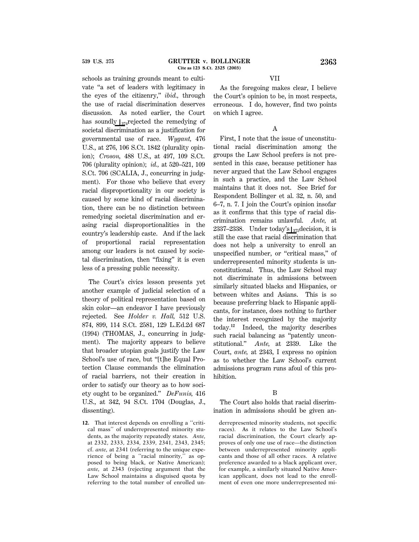schools as training grounds meant to cultivate ''a set of leaders with legitimacy in the eyes of the citizenry,'' *ibid.,* through the use of racial discrimination deserves discussion. As noted earlier, the Court has soundly  $\vert_{374}$ rejected the remedying of societal discrimination as a justification for governmental use of race. *Wygant,* 476 U.S., at 276, 106 S.Ct. 1842 (plurality opinion); *Croson,* 488 U.S., at 497, 109 S.Ct. 706 (plurality opinion); *id.,* at 520–521, 109 S.Ct. 706 (SCALIA, J., concurring in judgment). For those who believe that every racial disproportionality in our society is caused by some kind of racial discrimination, there can be no distinction between remedying societal discrimination and erasing racial disproportionalities in the country's leadership caste. And if the lack of proportional racial representation

The Court's civics lesson presents yet another example of judicial selection of a theory of political representation based on skin color—an endeavor I have previously rejected. See *Holder v. Hall,* 512 U.S. 874, 899, 114 S.Ct. 2581, 129 L.Ed.2d 687 (1994) (THOMAS, J., concurring in judgment). The majority appears to believe that broader utopian goals justify the Law School's use of race, but "[t]he Equal Protection Clause commands the elimination of racial barriers, not their creation in order to satisfy our theory as to how society ought to be organized.'' *DeFunis,* 416 U.S., at 342, 94 S.Ct. 1704 (Douglas, J., dissenting).

among our leaders is not caused by societal discrimination, then ''fixing'' it is even

less of a pressing public necessity.

**12.** That interest depends on enrolling a ''critical mass'' of underrepresented minority students, as the majority repeatedly states. *Ante,* at 2332, 2333, 2334, 2339, 2341, 2343, 2345; cf. *ante,* at 2341 (referring to the unique experience of being a ''racial minority,'' as opposed to being black, or Native American); *ante,* at 2343 (rejecting argument that the Law School maintains a disguised quota by referring to the total number of enrolled un-

# VII

As the foregoing makes clear, I believe the Court's opinion to be, in most respects, erroneous. I do, however, find two points on which I agree.

# A

First, I note that the issue of unconstitutional racial discrimination among the groups the Law School prefers is not presented in this case, because petitioner has never argued that the Law School engages in such a practice, and the Law School maintains that it does not. See Brief for Respondent Bollinger et al. 32, n. 50, and 6–7, n. 7. I join the Court's opinion insofar as it confirms that this type of racial discrimination remains unlawful. *Ante,* at 2337–2338. Under today's  $\frac{1}{375}$ decision, it is still the case that racial discrimination that does not help a university to enroll an unspecified number, or ''critical mass,'' of underrepresented minority students is unconstitutional. Thus, the Law School may not discriminate in admissions between similarly situated blacks and Hispanics, or between whites and Asians. This is so because preferring black to Hispanic applicants, for instance, does nothing to further the interest recognized by the majority today.**<sup>12</sup>** Indeed, the majority describes such racial balancing as "patently unconstitutional.'' *Ante,* at 2339. Like the Court, *ante,* at 2343, I express no opinion as to whether the Law School's current admissions program runs afoul of this prohibition.

# B

The Court also holds that racial discrimination in admissions should be given an-

derrepresented minority students, not specific races). As it relates to the Law School's racial discrimination, the Court clearly approves of only one use of race—the distinction between underrepresented minority applicants and those of all other races. A relative preference awarded to a black applicant over, for example, a similarly situated Native American applicant, does not lead to the enrollment of even one more underrepresented mi-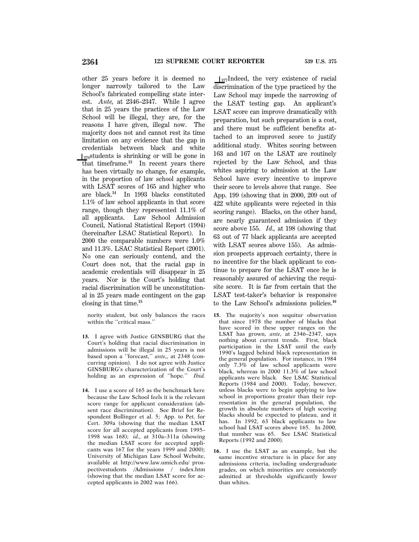other 25 years before it is deemed no longer narrowly tailored to the Law School's fabricated compelling state interest. *Ante,* at 2346–2347. While I agree that in 25 years the practices of the Law School will be illegal, they are, for the reasons I have given, illegal now. The majority does not and cannot rest its time limitation on any evidence that the gap in credentials between black and white  $\frac{1}{376}$ students is shrinking or will be gone in that timeframe.**<sup>13</sup>** In recent years there has been virtually no change, for example, in the proportion of law school applicants with LSAT scores of 165 and higher who are black.**<sup>14</sup>** In 1993 blacks constituted 1.1% of law school applicants in that score range, though they represented 11.1% of all applicants. Law School Admission Council, National Statistical Report (1994) (hereinafter LSAC Statistical Report). In 2000 the comparable numbers were 1.0% and 11.3%. LSAC Statistical Report (2001). No one can seriously contend, and the Court does not, that the racial gap in academic credentials will disappear in 25 years. Nor is the Court's holding that racial discrimination will be unconstitutional in 25 years made contingent on the gap closing in that time.**<sup>15</sup>**

nority student, but only balances the races within the ''critical mass.''

- **13.** I agree with Justice GINSBURG that the Court's holding that racial discrimination in admissions will be illegal in 25 years is not based upon a ''forecast,'' *ante,,* at 2348 (concurring opinion). I do not agree with Justice GINSBURG's characterization of the Court's holding as an expression of ''hope.'' *Ibid.*
- **14.** I use a score of 165 as the benchmark here because the Law School feels it is the relevant score range for applicant consideration (absent race discrimination). See Brief for Respondent Bollinger et al. 5; App. to Pet. for Cert. 309a (showing that the median LSAT score for all accepted applicants from 1995– 1998 was 168); *id.,* at 310a–311a (showing the median LSAT score for accepted applicants was 167 for the years 1999 and 2000); University of Michigan Law School Website, available at http://www.law.umich.edu/ prospectivestudents /Admissions / index.htm (showing that the median LSAT score for accepted applicants in 2002 was 166).

 $\log$ <sub>377</sub>Indeed, the very existence of racial discrimination of the type practiced by the Law School may impede the narrowing of the LSAT testing gap. An applicant's LSAT score can improve dramatically with preparation, but such preparation is a cost, and there must be sufficient benefits attached to an improved score to justify additional study. Whites scoring between 163 and 167 on the LSAT are routinely rejected by the Law School, and thus whites aspiring to admission at the Law School have every incentive to improve their score to levels above that range. See App. 199 (showing that in 2000, 209 out of 422 white applicants were rejected in this scoring range). Blacks, on the other hand, are nearly guaranteed admission if they score above 155. *Id.,* at 198 (showing that 63 out of 77 black applicants are accepted with LSAT scores above 155). As admission prospects approach certainty, there is no incentive for the black applicant to continue to prepare for the LSAT once he is reasonably assured of achieving the requisite score. It is far from certain that the LSAT test-taker's behavior is responsive to the Law School's admissions policies.**<sup>16</sup>**

- **15.** The majority's non sequitur observation that since 1978 the number of blacks that have scored in these upper ranges on the LSAT has grown, *ante,* at 2346–2347, says nothing about current trends. First, black participation in the LSAT until the early 1990's lagged behind black representation in the general population. For instance, in 1984 only 7.3% of law school applicants were black, whereas in 2000 11.3% of law school applicants were black. See LSAC Statistical Reports (1984 and 2000). Today, however, unless blacks were to begin applying to law school in proportions greater than their representation in the general population, the growth in absolute numbers of high scoring blacks should be expected to plateau, and it has. In 1992, 63 black applicants to law school had LSAT scores above 165. In 2000, that number was 65. See LSAC Statistical Reports (1992 and 2000).
- **16.** I use the LSAT as an example, but the same incentive structure is in place for any admissions criteria, including undergraduate grades, on which minorities are consistently admitted at thresholds significantly lower than whites.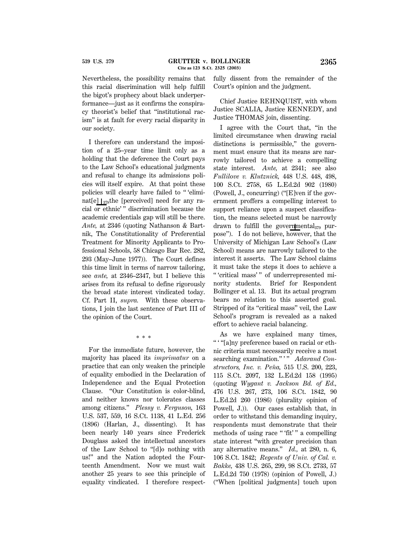Nevertheless, the possibility remains that this racial discrimination will help fulfill the bigot's prophecy about black underperformance—just as it confirms the conspiracy theorist's belief that ''institutional racism'' is at fault for every racial disparity in our society.

I therefore can understand the imposition of a 25–year time limit only as a holding that the deference the Court pays to the Law School's educational judgments and refusal to change its admissions policies will itself expire. At that point these policies will clearly have failed to '' 'eliminat[e]  $\left| \right|$  s<sub>78</sub>the [perceived] need for any racial or ethnic' '' discrimination because the academic credentials gap will still be there. *Ante,* at 2346 (quoting Nathanson & Bartnik, The Constitutionality of Preferential Treatment for Minority Applicants to Professional Schools, 58 Chicago Bar Rec. 282, 293 (May–June 1977)). The Court defines this time limit in terms of narrow tailoring, see *ante,* at 2346–2347, but I believe this arises from its refusal to define rigorously the broad state interest vindicated today. Cf. Part II, *supra.* With these observations, I join the last sentence of Part III of the opinion of the Court.

For the immediate future, however, the majority has placed its *imprimatur* on a practice that can only weaken the principle of equality embodied in the Declaration of Independence and the Equal Protection Clause. ''Our Constitution is color-blind, and neither knows nor tolerates classes among citizens.'' *Plessy v. Ferguson,* 163 U.S. 537, 559, 16 S.Ct. 1138, 41 L.Ed. 256 (1896) (Harlan, J., dissenting). It has been nearly 140 years since Frederick Douglass asked the intellectual ancestors of the Law School to ''[d]o nothing with us!'' and the Nation adopted the Fourteenth Amendment. Now we must wait another 25 years to see this principle of equality vindicated. I therefore respect-

\* \* \*

fully dissent from the remainder of the Court's opinion and the judgment.

Chief Justice REHNQUIST, with whom Justice SCALIA, Justice KENNEDY, and Justice THOMAS join, dissenting.

I agree with the Court that, ''in the limited circumstance when drawing racial distinctions is permissible,'' the government must ensure that its means are narrowly tailored to achieve a compelling state interest. *Ante,* at 2341; see also *Fullilove v. Klutznick,* 448 U.S. 448, 498, 100 S.Ct. 2758, 65 L.Ed.2d 902 (1980) (Powell, J., concurring) (''[E]ven if the government proffers a compelling interest to support reliance upon a suspect classification, the means selected must be narrowly drawn to fulfill the governmental $_{379}$  purpose''). I do not believe, however, that the University of Michigan Law School's (Law School) means are narrowly tailored to the interest it asserts. The Law School claims it must take the steps it does to achieve a '' 'critical mass' '' of underrepresented minority students. Brief for Respondent Bollinger et al. 13. But its actual program bears no relation to this asserted goal. Stripped of its "critical mass" veil, the Law School's program is revealed as a naked effort to achieve racial balancing.

As we have explained many times, '' ' ''[a]ny preference based on racial or ethnic criteria must necessarily receive a most searching examination."<sup>"</sup> Adarand Constructors, *Inc. v. Peña*, 515 U.S. 200, 223, 115 S.Ct. 2097, 132 L.Ed.2d 158 (1995) (quoting *Wygant v. Jackson Bd. of Ed.,* 476 U.S. 267, 273, 106 S.Ct. 1842, 90 L.Ed.2d 260 (1986) (plurality opinion of Powell, J.)). Our cases establish that, in order to withstand this demanding inquiry, respondents must demonstrate that their methods of using race "'fit'" a compelling state interest ''with greater precision than any alternative means.'' *Id.,* at 280, n. 6, 106 S.Ct. 1842; *Regents of Univ. of Cal. v. Bakke,* 438 U.S. 265, 299, 98 S.Ct. 2733, 57 L.Ed.2d 750 (1978) (opinion of Powell, J.) (''When [political judgments] touch upon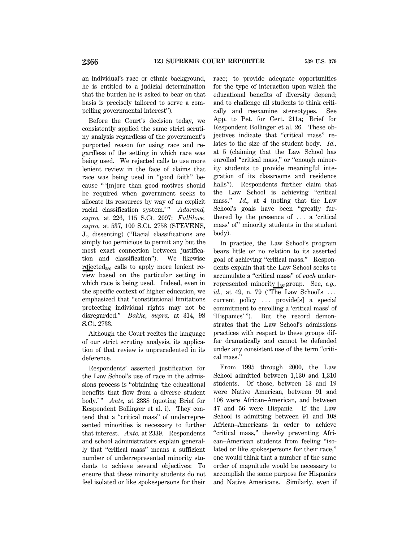an individual's race or ethnic background, he is entitled to a judicial determination that the burden he is asked to bear on that basis is precisely tailored to serve a compelling governmental interest'').

Before the Court's decision today, we consistently applied the same strict scrutiny analysis regardless of the government's purported reason for using race and regardless of the setting in which race was being used. We rejected calls to use more lenient review in the face of claims that race was being used in "good faith" because '' '[m]ore than good motives should be required when government seeks to allocate its resources by way of an explicit racial classification system.'" *Adarand*, *supra,* at 226, 115 S.Ct. 2097; *Fullilove, supra,* at 537, 100 S.Ct. 2758 (STEVENS, J., dissenting) (''Racial classifications are simply too pernicious to permit any but the most exact connection between justification and classification''). We likewise rejected<sub>380</sub> calls to apply more lenient review based on the particular setting in which race is being used. Indeed, even in the specific context of higher education, we emphasized that ''constitutional limitations protecting individual rights may not be disregarded.'' *Bakke, supra,* at 314, 98 S.Ct. 2733.

Although the Court recites the language of our strict scrutiny analysis, its application of that review is unprecedented in its deference.

Respondents' asserted justification for the Law School's use of race in the admissions process is ''obtaining 'the educational benefits that flow from a diverse student body.' '' *Ante,* at 2338 (quoting Brief for Respondent Bollinger et al. i). They contend that a ''critical mass'' of underrepresented minorities is necessary to further that interest. *Ante,* at 2339. Respondents and school administrators explain generally that ''critical mass'' means a sufficient number of underrepresented minority students to achieve several objectives: To ensure that these minority students do not feel isolated or like spokespersons for their

race; to provide adequate opportunities for the type of interaction upon which the educational benefits of diversity depend; and to challenge all students to think critically and reexamine stereotypes. See App. to Pet. for Cert. 211a; Brief for Respondent Bollinger et al. 26. These objectives indicate that ''critical mass'' relates to the size of the student body. *Id.,* at 5 (claiming that the Law School has enrolled "critical mass," or "enough minority students to provide meaningful integration of its classrooms and residence halls''). Respondents further claim that the Law School is achieving ''critical mass.'' *Id.,* at 4 (noting that the Law School's goals have been ''greatly furthered by the presence of  $\ldots$  a 'critical mass' of'' minority students in the student body).

In practice, the Law School's program bears little or no relation to its asserted goal of achieving ''critical mass.'' Respondents explain that the Law School seeks to accumulate a ''critical mass'' of *each* underrepresented minority  $\int_{381}$ group. See, *e.g.*, *id.*, at 49, n. 79 ("The Law School's  $\ldots$ current policy ... provide[s] a special commitment to enrolling a 'critical mass' of 'Hispanics' ''). But the record demonstrates that the Law School's admissions practices with respect to these groups differ dramatically and cannot be defended under any consistent use of the term ''critical mass.''

From 1995 through 2000, the Law School admitted between 1,130 and 1,310 students. Of those, between 13 and 19 were Native American, between 91 and 108 were African–American, and between 47 and 56 were Hispanic. If the Law School is admitting between 91 and 108 African–Americans in order to achieve "critical mass," thereby preventing African–American students from feeling ''isolated or like spokespersons for their race,'' one would think that a number of the same order of magnitude would be necessary to accomplish the same purpose for Hispanics and Native Americans. Similarly, even if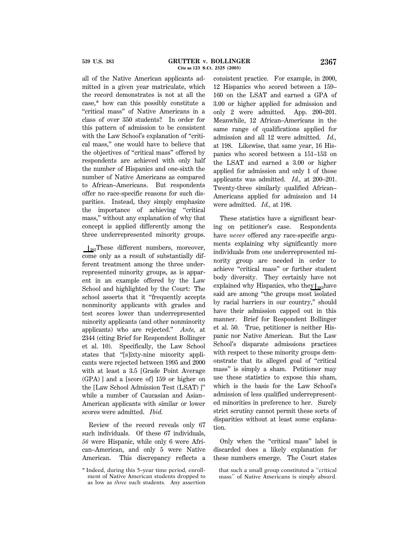all of the Native American applicants admitted in a given year matriculate, which the record demonstrates is not at all the case,\* how can this possibly constitute a ''critical mass'' of Native Americans in a class of over 350 students? In order for this pattern of admission to be consistent with the Law School's explanation of ''critical mass,'' one would have to believe that the objectives of ''critical mass'' offered by respondents are achieved with only half the number of Hispanics and one-sixth the number of Native Americans as compared to African–Americans. But respondents offer no race-specific reasons for such disparities. Instead, they simply emphasize the importance of achieving ''critical mass,'' without any explanation of why that concept is applied differently among the

three underrepresented minority groups.

 $\frac{1}{382}$ These different numbers, moreover, come only as a result of substantially different treatment among the three underrepresented minority groups, as is apparent in an example offered by the Law School and highlighted by the Court: The school asserts that it "frequently accepts nonminority applicants with grades and test scores lower than underrepresented minority applicants (and other nonminority applicants) who are rejected.'' *Ante,* at 2344 (citing Brief for Respondent Bollinger et al. 10). Specifically, the Law School states that ''[s]ixty-nine minority applicants were rejected between 1995 and 2000 with at least a 3.5 [Grade Point Average  $(GPA)$ ] and a [score of] 159 or higher on the [Law School Admission Test (LSAT) ]'' while a number of Caucasian and Asian– American applicants with similar or lower scores were admitted. *Ibid.*

Review of the record reveals only 67 such individuals. Of these 67 individuals, *56* were Hispanic, while only 6 were African–American, and only 5 were Native American. This discrepancy reflects a

consistent practice. For example, in 2000, 12 Hispanics who scored between a 159– 160 on the LSAT and earned a GPA of 3.00 or higher applied for admission and only 2 were admitted. App. 200–201. Meanwhile, 12 African–Americans in the same range of qualifications applied for admission and all 12 were admitted. *Id.,* at 198. Likewise, that same year, 16 Hispanics who scored between a 151–153 on the LSAT and earned a 3.00 or higher applied for admission and only 1 of those applicants was admitted. *Id.,* at 200–201. Twenty-three similarly qualified African– Americans applied for admission and 14 were admitted. *Id.,* at 198.

These statistics have a significant bearing on petitioner's case. Respondents have *never* offered any race-specific arguments explaining why significantly more individuals from one underrepresented minority group are needed in order to achieve ''critical mass'' or further student body diversity. They certainly have not explained why Hispanics, who they  $\frac{1}{383}$ have said are among ''the groups most isolated by racial barriers in our country,'' should have their admission capped out in this manner. Brief for Respondent Bollinger et al. 50. True, petitioner is neither Hispanic nor Native American. But the Law School's disparate admissions practices with respect to these minority groups demonstrate that its alleged goal of ''critical mass'' is simply a sham. Petitioner may use these statistics to expose this sham, which is the basis for the Law School's admission of less qualified underrepresented minorities in preference to her. Surely strict scrutiny cannot permit these sorts of disparities without at least some explanation.

Only when the ''critical mass'' label is discarded does a likely explanation for these numbers emerge. The Court states

<sup>\*</sup> Indeed, during this 5–year time period, enrollment of Native American students dropped to as low as *three* such students. Any assertion

that such a small group constituted a ''critical mass'' of Native Americans is simply absurd.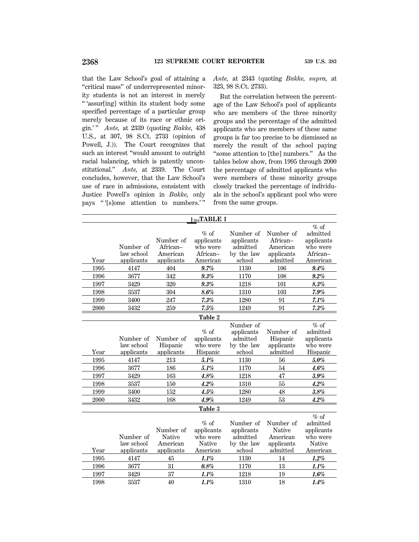that the Law School's goal of attaining a ''critical mass'' of underrepresented minority students is not an interest in merely '' 'assur[ing] within its student body some specified percentage of a particular group merely because of its race or ethnic origin.' '' *Ante,* at 2339 (quoting *Bakke,* 438 U.S., at 307, 98 S.Ct. 2733 (opinion of Powell, J.)). The Court recognizes that such an interest ''would amount to outright racial balancing, which is patently unconstitutional.'' *Ante,* at 2339. The Court concludes, however, that the Law School's use of race in admissions, consistent with Justice Powell's opinion in *Bakke,* only pays '' '[s]ome attention to numbers.' ''

*Ante,* at 2343 (quoting *Bakke, supra,* at 323, 98 S.Ct. 2733).

But the correlation between the percentage of the Law School's pool of applicants who are members of the three minority groups and the percentage of the admitted applicants who are members of these same groups is far too precise to be dismissed as merely the result of the school paying "some attention to [the] numbers." As the tables below show, from 1995 through 2000 the percentage of admitted applicants who were members of these minority groups closely tracked the percentage of individuals in the school's applicant pool who were from the same groups.

|                      |                                                       |                                                               | $_{1384}$ TABLE 1                                                        |                                                                             |                                                                           |                                                                                            |
|----------------------|-------------------------------------------------------|---------------------------------------------------------------|--------------------------------------------------------------------------|-----------------------------------------------------------------------------|---------------------------------------------------------------------------|--------------------------------------------------------------------------------------------|
| Year<br>1995<br>1996 | Number of<br>law school<br>applicants<br>4147<br>3677 | Number of<br>African-<br>American<br>applicants<br>404<br>342 | $%$ of<br>applicants<br>who were<br>African-<br>American<br>9.7%<br>9.3% | Number of<br>applicants<br>admitted<br>by the law<br>school<br>1130<br>1170 | Number of<br>African-<br>American<br>applicants<br>admitted<br>106<br>108 | $%$ of<br>admitted<br>applicants<br>who were<br>African-<br>American<br>$9.4\%$<br>$9.2\%$ |
| 1997                 | 3429                                                  | 320                                                           | 9.3%                                                                     | 1218                                                                        | 101                                                                       | 8.3%                                                                                       |
| 1998                 | 3537                                                  | 304                                                           | $8.6\%$                                                                  | 1310                                                                        | 103                                                                       | $7.9\%$                                                                                    |
| 1999                 | 3400                                                  | 247                                                           | 7.3%                                                                     | 1280                                                                        | 91                                                                        | 7.1%                                                                                       |
| 2000                 | 3432                                                  | 259                                                           | 7.5%                                                                     | 1249                                                                        | 91                                                                        | $7.3\%$                                                                                    |
|                      |                                                       |                                                               | Table 2                                                                  |                                                                             |                                                                           |                                                                                            |
| Year                 | Number of<br>law school<br>applicants                 | Number of<br>Hispanic<br>applicants                           | $%$ of<br>applicants<br>who were<br>Hispanic                             | Number of<br>applicants<br>admitted<br>by the law<br>school                 | Number of<br>Hispanic<br>applicants<br>admitted                           | $\%$ of<br>admitted<br>applicants<br>who were<br>Hispanic                                  |
| 1995                 | 4147                                                  | 213                                                           | 5.1%                                                                     | 1130                                                                        | 56                                                                        | 5.0%                                                                                       |
| 1996                 | 3677                                                  | 186                                                           | 5.1%                                                                     | 1170                                                                        | 54                                                                        | $4.6\%$                                                                                    |
| 1997                 | 3429                                                  | 163                                                           | 4.8%                                                                     | 1218                                                                        | 47                                                                        | 3.9%                                                                                       |
| 1998                 | 3537                                                  | 150                                                           | $4.2\%$                                                                  | 1310                                                                        | 55                                                                        | $4.2\%$                                                                                    |
| 1999                 | 3400                                                  | 152                                                           | $4.5\%$                                                                  | 1280                                                                        | 48                                                                        | $3.8\%$                                                                                    |
| 2000                 | 3432                                                  | 168                                                           | 4.9%                                                                     | 1249                                                                        | 53                                                                        | $4.2\%$                                                                                    |
|                      |                                                       |                                                               | Table 3                                                                  |                                                                             |                                                                           |                                                                                            |
|                      | Number of<br>law school                               | Number of<br><b>Native</b><br>American                        | $%$ of<br>applicants<br>who were<br>Native                               | Number of<br>applicants<br>admitted<br>by the law                           | Number of<br><b>Native</b><br>American<br>applicants                      | $\%$ of<br>admitted<br>applicants<br>who were<br>Native                                    |
| Year                 | applicants                                            | applicants                                                    | American                                                                 | school                                                                      | admitted                                                                  | American                                                                                   |
| 1995                 | 4147                                                  | 45                                                            | 1.1%                                                                     | 1130                                                                        | 14                                                                        | $1.2\%$                                                                                    |
| 1996                 | 3677                                                  | 31                                                            | $0.8\%$                                                                  | 1170                                                                        | 13                                                                        | 1.1%                                                                                       |
| 1997                 | 3429                                                  | 37                                                            | 1.1%                                                                     | 1218                                                                        | 19                                                                        | 1.6%                                                                                       |
| 1998                 | 3537                                                  | 40                                                            | 1.1%                                                                     | 1310                                                                        | 18                                                                        | 1.4%                                                                                       |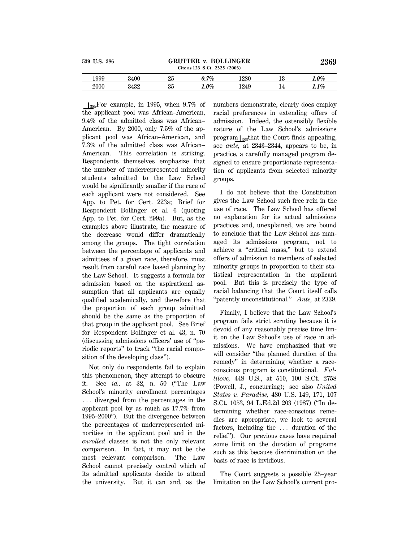**539 U.S. 386**

**GRUTTER v. BOLLINGER 2369**

| 1999 | $\sim$ | $\sim$<br>ചപ | 7%    | ററെ<br>140U | 1U | 0% |
|------|--------|--------------|-------|-------------|----|----|
| 2000 | 10C    | ົ້<br>ಀಀ     | $0\%$ | 1249        | ∸  | 1% |

 $\frac{1}{385}$ For example, in 1995, when 9.7% of the applicant pool was African–American, 9.4% of the admitted class was African– American. By 2000, only 7.5% of the applicant pool was African–American, and 7.3% of the admitted class was African– American. This correlation is striking. Respondents themselves emphasize that the number of underrepresented minority students admitted to the Law School would be significantly smaller if the race of each applicant were not considered. See App. to Pet. for Cert. 223a; Brief for Respondent Bollinger et al. 6 (quoting App. to Pet. for Cert. 299a). But, as the examples above illustrate, the measure of the decrease would differ dramatically among the groups. The tight correlation between the percentage of applicants and admittees of a given race, therefore, must result from careful race based planning by the Law School. It suggests a formula for admission based on the aspirational assumption that all applicants are equally qualified academically, and therefore that the proportion of each group admitted should be the same as the proportion of that group in the applicant pool. See Brief for Respondent Bollinger et al. 43, n. 70 (discussing admissions officers' use of ''periodic reports'' to track ''the racial composition of the developing class'').

Not only do respondents fail to explain this phenomenon, they attempt to obscure it. See *id.,* at 32, n. 50 (''The Law School's minority enrollment percentages  $\ldots$  diverged from the percentages in the applicant pool by as much as 17.7% from 1995–2000''). But the divergence between the percentages of underrepresented minorities in the applicant pool and in the *enrolled* classes is not the only relevant comparison. In fact, it may not be the most relevant comparison. The Law School cannot precisely control which of its admitted applicants decide to attend the university. But it can and, as the numbers demonstrate, clearly does employ racial preferences in extending offers of admission. Indeed, the ostensibly flexible nature of the Law School's admissions program  $\frac{1}{386}$ that the Court finds appealing, see *ante,* at 2343–2344, appears to be, in practice, a carefully managed program designed to ensure proportionate representation of applicants from selected minority groups.

I do not believe that the Constitution gives the Law School such free rein in the use of race. The Law School has offered no explanation for its actual admissions practices and, unexplained, we are bound to conclude that the Law School has managed its admissions program, not to achieve a ''critical mass,'' but to extend offers of admission to members of selected minority groups in proportion to their statistical representation in the applicant pool. But this is precisely the type of racial balancing that the Court itself calls ''patently unconstitutional.'' *Ante,* at 2339.

Finally, I believe that the Law School's program fails strict scrutiny because it is devoid of any reasonably precise time limit on the Law School's use of race in admissions. We have emphasized that we will consider ''the planned duration of the remedy'' in determining whether a raceconscious program is constitutional. *Fullilove,* 448 U.S., at 510, 100 S.Ct. 2758 (Powell, J., concurring); see also *United States v. Paradise,* 480 U.S. 149, 171, 107 S.Ct. 1053, 94 L.Ed.2d 203 (1987) (''In determining whether race-conscious remedies are appropriate, we look to several factors, including the  $\ldots$  duration of the relief''). Our previous cases have required some limit on the duration of programs such as this because discrimination on the basis of race is invidious.

The Court suggests a possible 25–year limitation on the Law School's current pro-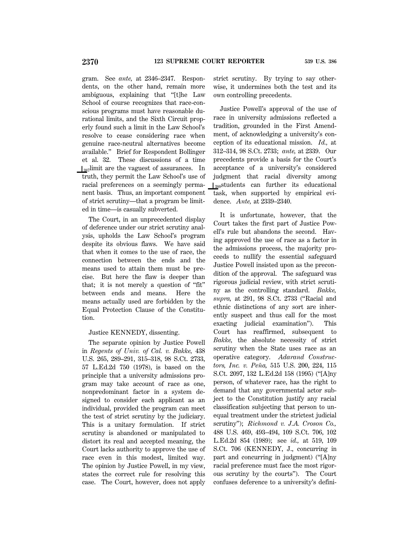gram. See *ante,* at 2346–2347. Respondents, on the other hand, remain more ambiguous, explaining that ''[t]he Law School of course recognizes that race-conscious programs must have reasonable durational limits, and the Sixth Circuit properly found such a limit in the Law School's resolve to cease considering race when genuine race-neutral alternatives become available.'' Brief for Respondent Bollinger et al. 32. These discussions of a time  $\frac{1}{387}$ limit are the vaguest of assurances. In truth, they permit the Law School's use of racial preferences on a seemingly permanent basis. Thus, an important component of strict scrutiny—that a program be limited in time—is casually subverted.

The Court, in an unprecedented display of deference under our strict scrutiny analysis, upholds the Law School's program despite its obvious flaws. We have said that when it comes to the use of race, the connection between the ends and the means used to attain them must be precise. But here the flaw is deeper than that; it is not merely a question of ''fit'' between ends and means. Here the means actually used are forbidden by the Equal Protection Clause of the Constitution.

#### Justice KENNEDY, dissenting.

The separate opinion by Justice Powell in *Regents of Univ. of Cal. v. Bakke,* 438 U.S. 265, 289–291, 315–318, 98 S.Ct. 2733, 57 L.Ed.2d 750 (1978), is based on the principle that a university admissions program may take account of race as one, nonpredominant factor in a system designed to consider each applicant as an individual, provided the program can meet the test of strict scrutiny by the judiciary. This is a unitary formulation. If strict scrutiny is abandoned or manipulated to distort its real and accepted meaning, the Court lacks authority to approve the use of race even in this modest, limited way. The opinion by Justice Powell, in my view, states the correct rule for resolving this case. The Court, however, does not apply strict scrutiny. By trying to say otherwise, it undermines both the test and its own controlling precedents.

Justice Powell's approval of the use of race in university admissions reflected a tradition, grounded in the First Amendment, of acknowledging a university's conception of its educational mission. *Id.,* at 312–314, 98 S.Ct. 2733; *ante,* at 2339. Our precedents provide a basis for the Court's acceptance of a university's considered judgment that racial diversity among  $\int_{388}$ students can further its educational task, when supported by empirical evidence. *Ante,* at 2339–2340.

It is unfortunate, however, that the Court takes the first part of Justice Powell's rule but abandons the second. Having approved the use of race as a factor in the admissions process, the majority proceeds to nullify the essential safeguard Justice Powell insisted upon as the precondition of the approval. The safeguard was rigorous judicial review, with strict scrutiny as the controlling standard. *Bakke, supra,* at 291, 98 S.Ct. 2733 (''Racial and ethnic distinctions of any sort are inherently suspect and thus call for the most exacting judicial examination''). This Court has reaffirmed, subsequent to *Bakke,* the absolute necessity of strict scrutiny when the State uses race as an operative category. *Adarand Construc*tors, Inc. v. Peña, 515 U.S. 200, 224, 115 S.Ct. 2097, 132 L.Ed.2d 158 (1995) (''[A]ny person, of whatever race, has the right to demand that any governmental actor subject to the Constitution justify any racial classification subjecting that person to unequal treatment under the strictest judicial scrutiny''); *Richmond v. J.A. Croson Co.,* 488 U.S. 469, 493–494, 109 S.Ct. 706, 102 L.Ed.2d 854 (1989); see *id.,* at 519, 109 S.Ct. 706 (KENNEDY, J., concurring in part and concurring in judgment) (''[A]ny racial preference must face the most rigorous scrutiny by the courts''). The Court confuses deference to a university's defini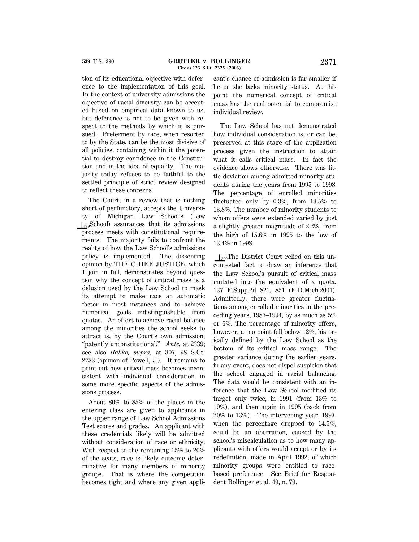tion of its educational objective with deference to the implementation of this goal. In the context of university admissions the objective of racial diversity can be accepted based on empirical data known to us, but deference is not to be given with respect to the methods by which it is pursued. Preferment by race, when resorted to by the State, can be the most divisive of

all policies, containing within it the potential to destroy confidence in the Constitution and in the idea of equality. The majority today refuses to be faithful to the settled principle of strict review designed to reflect these concerns.

The Court, in a review that is nothing short of perfunctory, accepts the University of Michigan Law School's (Law  $\log S$ chool) assurances that its admissions process meets with constitutional requirements. The majority fails to confront the reality of how the Law School's admissions policy is implemented. The dissenting opinion by THE CHIEF JUSTICE, which I join in full, demonstrates beyond question why the concept of critical mass is a delusion used by the Law School to mask its attempt to make race an automatic factor in most instances and to achieve numerical goals indistinguishable from quotas. An effort to achieve racial balance among the minorities the school seeks to attract is, by the Court's own admission, ''patently unconstitutional.'' *Ante,* at 2339; see also *Bakke, supra,* at 307, 98 S.Ct. 2733 (opinion of Powell, J.). It remains to point out how critical mass becomes inconsistent with individual consideration in some more specific aspects of the admissions process.

About 80% to 85% of the places in the entering class are given to applicants in the upper range of Law School Admissions Test scores and grades. An applicant with these credentials likely will be admitted without consideration of race or ethnicity. With respect to the remaining 15% to 20% of the seats, race is likely outcome determinative for many members of minority groups. That is where the competition becomes tight and where any given appli-

cant's chance of admission is far smaller if he or she lacks minority status. At this point the numerical concept of critical mass has the real potential to compromise individual review.

The Law School has not demonstrated how individual consideration is, or can be, preserved at this stage of the application process given the instruction to attain what it calls critical mass. In fact the evidence shows otherwise. There was little deviation among admitted minority students during the years from 1995 to 1998. The percentage of enrolled minorities fluctuated only by 0.3%, from 13.5% to 13.8%. The number of minority students to whom offers were extended varied by just a slightly greater magnitude of 2.2%, from the high of 15.6% in 1995 to the low of 13.4% in 1998.

 $\frac{1}{390}$ The District Court relied on this uncontested fact to draw an inference that the Law School's pursuit of critical mass mutated into the equivalent of a quota. 137 F.Supp.2d 821, 851 (E.D.Mich.2001). Admittedly, there were greater fluctuations among enrolled minorities in the preceding years,  $1987-1994$ , by as much as  $5%$ or 6%. The percentage of minority offers, however, at no point fell below 12%, historically defined by the Law School as the bottom of its critical mass range. The greater variance during the earlier years, in any event, does not dispel suspicion that the school engaged in racial balancing. The data would be consistent with an inference that the Law School modified its target only twice, in 1991 (from 13% to 19%), and then again in 1995 (back from 20% to 13%). The intervening year, 1993, when the percentage dropped to 14.5%, could be an aberration, caused by the school's miscalculation as to how many applicants with offers would accept or by its redefinition, made in April 1992, of which minority groups were entitled to racebased preference. See Brief for Respondent Bollinger et al. 49, n. 79.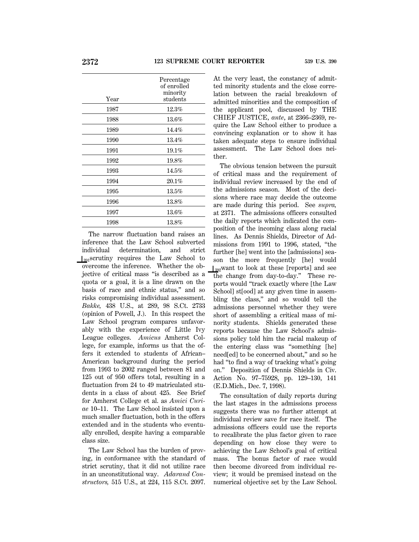| Year | Percentage<br>of enrolled<br>minority<br>students |
|------|---------------------------------------------------|
| 1987 | $12.3\%$                                          |
| 1988 | $13.6\%$                                          |
| 1989 | 14.4%                                             |
| 1990 | 13.4%                                             |
| 1991 | 19.1%                                             |
| 1992 | 19.8%                                             |
| 1993 | 14.5%                                             |
| 1994 | $20.1\%$                                          |
| 1995 | $13.5\%$                                          |
| 1996 | $13.8\%$                                          |
| 1997 | $13.6\%$                                          |
| 1998 | $13.8\%$                                          |

The narrow fluctuation band raises an inference that the Law School subverted individual determination, and strict  $\log_{391}$ scrutiny requires the Law School to overcome the inference. Whether the objective of critical mass ''is described as a quota or a goal, it is a line drawn on the basis of race and ethnic status,'' and so risks compromising individual assessment. *Bakke,* 438 U.S., at 289, 98 S.Ct. 2733 (opinion of Powell, J.). In this respect the Law School program compares unfavorably with the experience of Little Ivy League colleges. *Amicus* Amherst College, for example, informs us that the offers it extended to students of African– American background during the period from 1993 to 2002 ranged between 81 and 125 out of 950 offers total, resulting in a fluctuation from 24 to 49 matriculated students in a class of about 425. See Brief for Amherst College et al. as *Amici Curiae* 10–11. The Law School insisted upon a much smaller fluctuation, both in the offers extended and in the students who eventually enrolled, despite having a comparable class size.

The Law School has the burden of proving, in conformance with the standard of strict scrutiny, that it did not utilize race in an unconstitutional way. *Adarand Constructors,* 515 U.S., at 224, 115 S.Ct. 2097. At the very least, the constancy of admitted minority students and the close correlation between the racial breakdown of admitted minorities and the composition of the applicant pool, discussed by THE CHIEF JUSTICE, *ante*, at 2366–2369, require the Law School either to produce a convincing explanation or to show it has taken adequate steps to ensure individual assessment. The Law School does neither.

The obvious tension between the pursuit of critical mass and the requirement of individual review increased by the end of the admissions season. Most of the decisions where race may decide the outcome are made during this period. See *supra,* at 2371. The admissions officers consulted the daily reports which indicated the composition of the incoming class along racial lines. As Dennis Shields, Director of Admissions from 1991 to 1996, stated, ''the further [he] went into the [admissions] season the more frequently [he] would  $\log$ <sub>392</sub>want to look at these [reports] and see the change from day-to-day.'' These reports would ''track exactly where [the Law School] st[ood] at any given time in assembling the class,'' and so would tell the admissions personnel whether they were short of assembling a critical mass of minority students. Shields generated these reports because the Law School's admissions policy told him the racial makeup of the entering class was ''something [he] need[ed] to be concerned about,'' and so he had ''to find a way of tracking what's going on.'' Deposition of Dennis Shields in Civ. Action No. 97–75928, pp. 129–130, 141 (E.D.Mich., Dec. 7, 1998).

The consultation of daily reports during the last stages in the admissions process suggests there was no further attempt at individual review save for race itself. The admissions officers could use the reports to recalibrate the plus factor given to race depending on how close they were to achieving the Law School's goal of critical mass. The bonus factor of race would then become divorced from individual review; it would be premised instead on the numerical objective set by the Law School.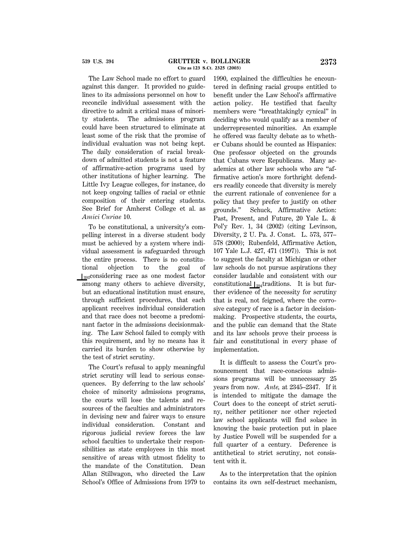The Law School made no effort to guard against this danger. It provided no guidelines to its admissions personnel on how to reconcile individual assessment with the directive to admit a critical mass of minority students. The admissions program could have been structured to eliminate at least some of the risk that the promise of individual evaluation was not being kept. The daily consideration of racial breakdown of admitted students is not a feature of affirmative-action programs used by other institutions of higher learning. The Little Ivy League colleges, for instance, do not keep ongoing tallies of racial or ethnic composition of their entering students. See Brief for Amherst College et al. as *Amici Curiae* 10.

To be constitutional, a university's compelling interest in a diverse student body must be achieved by a system where individual assessment is safeguarded through the entire process. There is no constitutional objection to the goal of  $\log$ considering race as one modest factor among many others to achieve diversity, but an educational institution must ensure, through sufficient procedures, that each applicant receives individual consideration and that race does not become a predominant factor in the admissions decisionmaking. The Law School failed to comply with this requirement, and by no means has it carried its burden to show otherwise by the test of strict scrutiny.

The Court's refusal to apply meaningful strict scrutiny will lead to serious consequences. By deferring to the law schools' choice of minority admissions programs, the courts will lose the talents and resources of the faculties and administrators in devising new and fairer ways to ensure individual consideration. Constant and rigorous judicial review forces the law school faculties to undertake their responsibilities as state employees in this most sensitive of areas with utmost fidelity to the mandate of the Constitution. Dean Allan Stillwagon, who directed the Law School's Office of Admissions from 1979 to

1990, explained the difficulties he encountered in defining racial groups entitled to benefit under the Law School's affirmative action policy. He testified that faculty members were ''breathtakingly cynical'' in deciding who would qualify as a member of underrepresented minorities. An example he offered was faculty debate as to whether Cubans should be counted as Hispanics: One professor objected on the grounds that Cubans were Republicans. Many academics at other law schools who are ''affirmative action's more forthright defenders readily concede that diversity is merely the current rationale of convenience for a policy that they prefer to justify on other grounds.'' Schuck, Affirmative Action: Past, Present, and Future, 20 Yale L. & Pol'y Rev. 1, 34 (2002) (citing Levinson, Diversity, 2 U. Pa. J. Const. L. 573, 577– 578 (2000); Rubenfeld, Affirmative Action, 107 Yale L.J. 427, 471 (1997)). This is not to suggest the faculty at Michigan or other law schools do not pursue aspirations they consider laudable and consistent with our constitutional  $\int_{394}$ traditions. It is but further evidence of the necessity for scrutiny that is real, not feigned, where the corrosive category of race is a factor in decisionmaking. Prospective students, the courts, and the public can demand that the State and its law schools prove their process is fair and constitutional in every phase of implementation.

It is difficult to assess the Court's pronouncement that race-conscious admissions programs will be unnecessary 25 years from now. *Ante,* at 2345–2347. If it is intended to mitigate the damage the Court does to the concept of strict scrutiny, neither petitioner nor other rejected law school applicants will find solace in knowing the basic protection put in place by Justice Powell will be suspended for a full quarter of a century. Deference is antithetical to strict scrutiny, not consistent with it.

As to the interpretation that the opinion contains its own self-destruct mechanism,